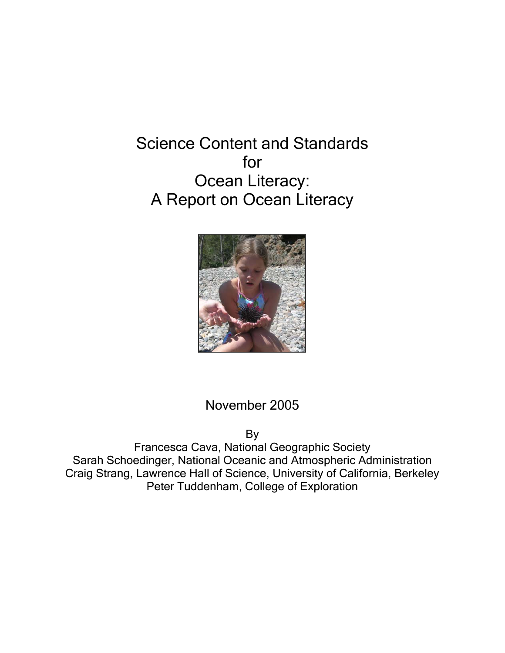Science Content and Standards for Ocean Literacy: A Report on Ocean Literacy



## November 2005

By

Francesca Cava, National Geographic Society Sarah Schoedinger, National Oceanic and Atmospheric Administration Craig Strang, Lawrence Hall of Science, University of California, Berkeley Peter Tuddenham, College of Exploration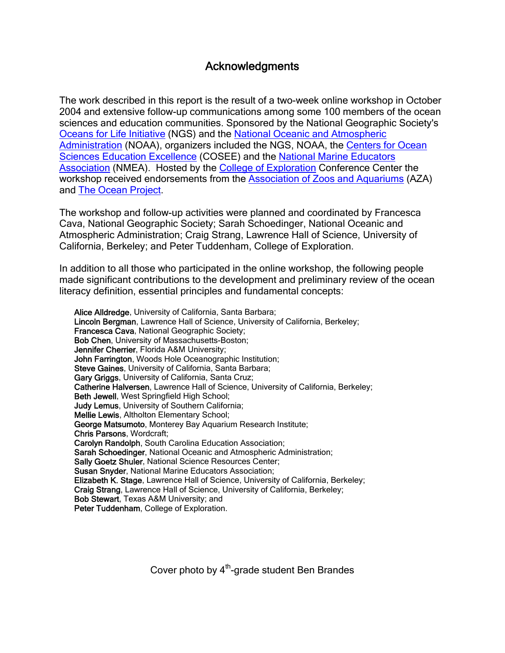## Acknowledgments

The work described in this report is the result of a two-week online workshop in October 2004 and extensive follow-up communications among some 100 members of the ocean sciences and education communities. Sponsored by the National Geographic Society's Oceans for Life Initiative (NGS) and the National Oceanic and Atmospheric Administration (NOAA), organizers included the NGS, NOAA, the Centers for Ocean Sciences Education Excellence (COSEE) and the National Marine Educators Association (NMEA). Hosted by the College of Exploration Conference Center the workshop received endorsements from the **Association of Zoos and Aquariums** (AZA) and The Ocean Project.

The workshop and follow-up activities were planned and coordinated by Francesca Cava, National Geographic Society; Sarah Schoedinger, National Oceanic and Atmospheric Administration; Craig Strang, Lawrence Hall of Science, University of California, Berkeley; and Peter Tuddenham, College of Exploration.

In addition to all those who participated in the online workshop, the following people made significant contributions to the development and preliminary review of the ocean literacy definition, essential principles and fundamental concepts:

Alice Alldredge, University of California, Santa Barbara; Lincoln Bergman, Lawrence Hall of Science, University of California, Berkeley; Francesca Cava, National Geographic Society; Bob Chen, University of Massachusetts-Boston; Jennifer Cherrier, Florida A&M University; John Farrington, Woods Hole Oceanographic Institution; Steve Gaines, University of California, Santa Barbara; Gary Griggs, University of California, Santa Cruz; Catherine Halversen, Lawrence Hall of Science, University of California, Berkeley; Beth Jewell, West Springfield High School; Judy Lemus, University of Southern California; Mellie Lewis, Altholton Elementary School; George Matsumoto, Monterey Bay Aquarium Research Institute; Chris Parsons, Wordcraft; Carolyn Randolph, South Carolina Education Association; Sarah Schoedinger, National Oceanic and Atmospheric Administration; Sally Goetz Shuler, National Science Resources Center; Susan Snyder, National Marine Educators Association; Elizabeth K. Stage, Lawrence Hall of Science, University of California, Berkeley; Craig Strang, Lawrence Hall of Science, University of California, Berkeley; Bob Stewart, Texas A&M University; and Peter Tuddenham, College of Exploration.

Cover photo by  $4<sup>th</sup>$ -grade student Ben Brandes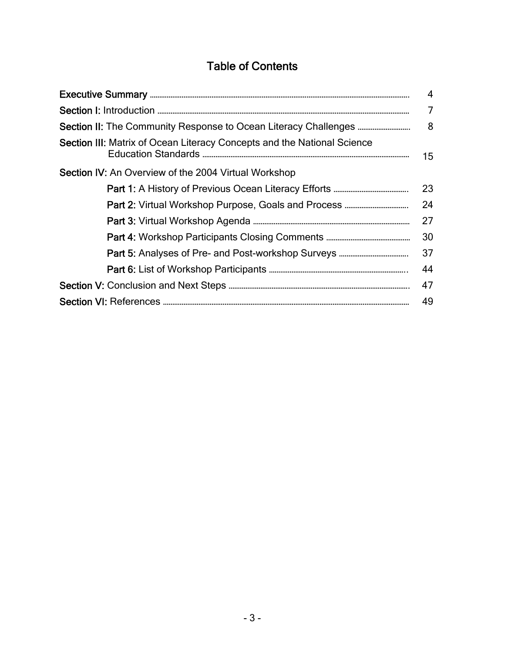# Table of Contents

|                                                                         | 4  |
|-------------------------------------------------------------------------|----|
|                                                                         | 7  |
|                                                                         | 8  |
| Section III: Matrix of Ocean Literacy Concepts and the National Science | 15 |
| <b>Section IV:</b> An Overview of the 2004 Virtual Workshop             |    |
|                                                                         | 23 |
| <b>Part 2: Virtual Workshop Purpose, Goals and Process </b>             | 24 |
|                                                                         | 27 |
|                                                                         | 30 |
| <b>Part 5: Analyses of Pre- and Post-workshop Surveys </b>              | 37 |
|                                                                         | 44 |
|                                                                         | 47 |
|                                                                         | 49 |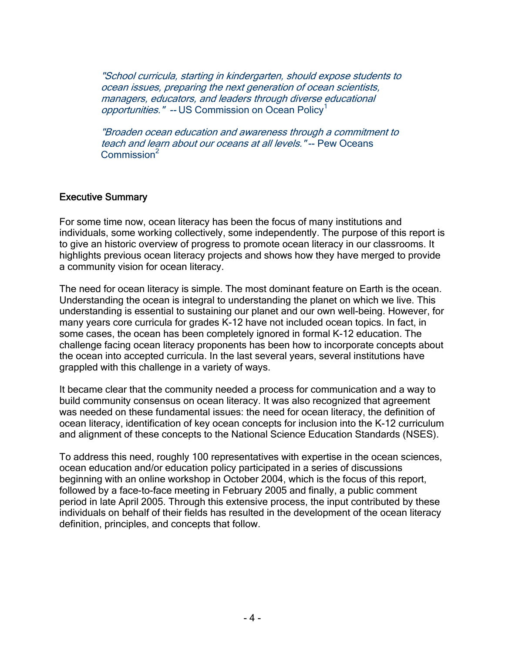"School curricula, starting in kindergarten, should expose students to ocean issues, preparing the next generation of ocean scientists, managers, educators, and leaders through diverse educational opportunities." -- US Commission on Ocean Policy<sup>1</sup>

"Broaden ocean education and awareness through a commitment to teach and learn about our oceans at all levels."-- Pew Oceans  $Common<sup>2</sup>$ 

### Executive Summary

For some time now, ocean literacy has been the focus of many institutions and individuals, some working collectively, some independently. The purpose of this report is to give an historic overview of progress to promote ocean literacy in our classrooms. It highlights previous ocean literacy projects and shows how they have merged to provide a community vision for ocean literacy.

The need for ocean literacy is simple. The most dominant feature on Earth is the ocean. Understanding the ocean is integral to understanding the planet on which we live. This understanding is essential to sustaining our planet and our own well-being. However, for many years core curricula for grades K-12 have not included ocean topics. In fact, in some cases, the ocean has been completely ignored in formal K-12 education. The challenge facing ocean literacy proponents has been how to incorporate concepts about the ocean into accepted curricula. In the last several years, several institutions have grappled with this challenge in a variety of ways.

It became clear that the community needed a process for communication and a way to build community consensus on ocean literacy. It was also recognized that agreement was needed on these fundamental issues: the need for ocean literacy, the definition of ocean literacy, identification of key ocean concepts for inclusion into the K-12 curriculum and alignment of these concepts to the National Science Education Standards (NSES).

To address this need, roughly 100 representatives with expertise in the ocean sciences, ocean education and/or education policy participated in a series of discussions beginning with an online workshop in October 2004, which is the focus of this report, followed by a face-to-face meeting in February 2005 and finally, a public comment period in late April 2005. Through this extensive process, the input contributed by these individuals on behalf of their fields has resulted in the development of the ocean literacy definition, principles, and concepts that follow.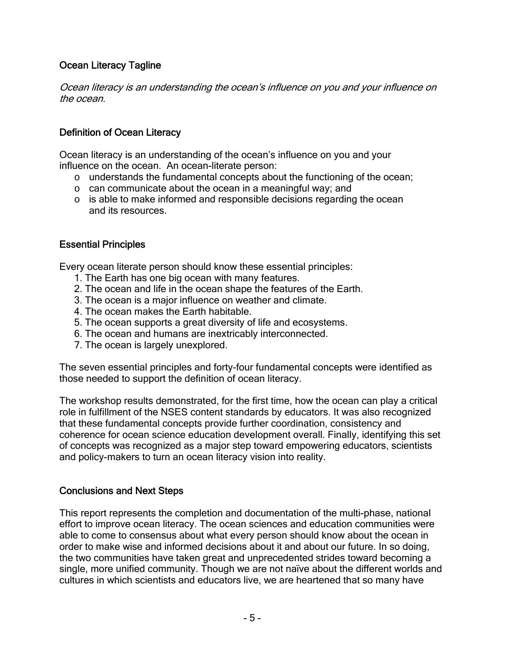## Ocean Literacy Tagline

Ocean literacy is an understanding the ocean's influence on you and your influence on the ocean.

## Definition of Ocean Literacy

Ocean literacy is an understanding of the ocean's influence on you and your influence on the ocean. An ocean-literate person:

- o understands the fundamental concepts about the functioning of the ocean;
- o can communicate about the ocean in a meaningful way; and
- o is able to make informed and responsible decisions regarding the ocean and its resources.

## Essential Principles

Every ocean literate person should know these essential principles:

- 1. The Earth has one big ocean with many features.
- 2. The ocean and life in the ocean shape the features of the Earth.
- 3. The ocean is a major influence on weather and climate.
- 4. The ocean makes the Earth habitable.
- 5. The ocean supports a great diversity of life and ecosystems.
- 6. The ocean and humans are inextricably interconnected.
- 7. The ocean is largely unexplored.

The seven essential principles and forty-four fundamental concepts were identified as those needed to support the definition of ocean literacy.

The workshop results demonstrated, for the first time, how the ocean can play a critical role in fulfillment of the NSES content standards by educators. It was also recognized that these fundamental concepts provide further coordination, consistency and coherence for ocean science education development overall. Finally, identifying this set of concepts was recognized as a major step toward empowering educators, scientists and policy-makers to turn an ocean literacy vision into reality.

## Conclusions and Next Steps

This report represents the completion and documentation of the multi-phase, national effort to improve ocean literacy. The ocean sciences and education communities were able to come to consensus about what every person should know about the ocean in order to make wise and informed decisions about it and about our future. In so doing, the two communities have taken great and unprecedented strides toward becoming a single, more unified community. Though we are not naïve about the different worlds and cultures in which scientists and educators live, we are heartened that so many have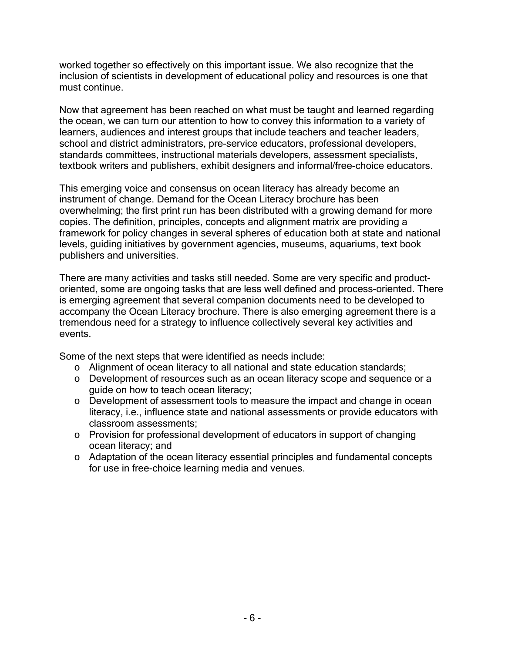worked together so effectively on this important issue. We also recognize that the inclusion of scientists in development of educational policy and resources is one that must continue.

Now that agreement has been reached on what must be taught and learned regarding the ocean, we can turn our attention to how to convey this information to a variety of learners, audiences and interest groups that include teachers and teacher leaders, school and district administrators, pre-service educators, professional developers, standards committees, instructional materials developers, assessment specialists, textbook writers and publishers, exhibit designers and informal/free-choice educators.

This emerging voice and consensus on ocean literacy has already become an instrument of change. Demand for the Ocean Literacy brochure has been overwhelming; the first print run has been distributed with a growing demand for more copies. The definition, principles, concepts and alignment matrix are providing a framework for policy changes in several spheres of education both at state and national levels, guiding initiatives by government agencies, museums, aquariums, text book publishers and universities.

There are many activities and tasks still needed. Some are very specific and productoriented, some are ongoing tasks that are less well defined and process-oriented. There is emerging agreement that several companion documents need to be developed to accompany the Ocean Literacy brochure. There is also emerging agreement there is a tremendous need for a strategy to influence collectively several key activities and events.

Some of the next steps that were identified as needs include:

- o Alignment of ocean literacy to all national and state education standards;
- o Development of resources such as an ocean literacy scope and sequence or a guide on how to teach ocean literacy;
- o Development of assessment tools to measure the impact and change in ocean literacy, i.e., influence state and national assessments or provide educators with classroom assessments;
- o Provision for professional development of educators in support of changing ocean literacy; and
- o Adaptation of the ocean literacy essential principles and fundamental concepts for use in free-choice learning media and venues.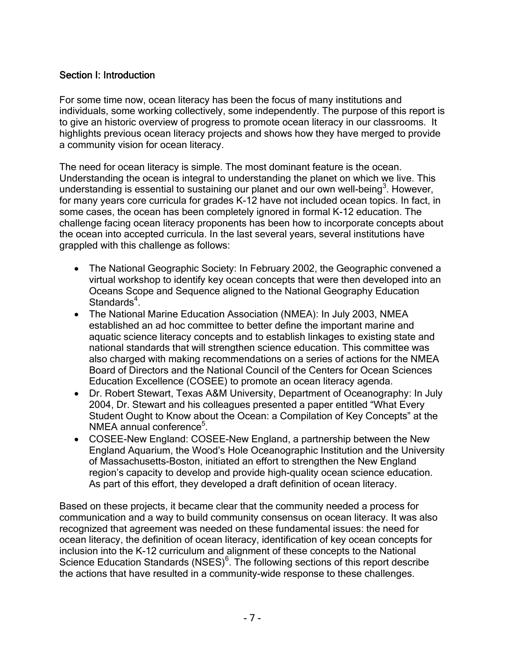## Section I: Introduction

For some time now, ocean literacy has been the focus of many institutions and individuals, some working collectively, some independently. The purpose of this report is to give an historic overview of progress to promote ocean literacy in our classrooms. It highlights previous ocean literacy projects and shows how they have merged to provide a community vision for ocean literacy.

The need for ocean literacy is simple. The most dominant feature is the ocean. Understanding the ocean is integral to understanding the planet on which we live. This understanding is essential to sustaining our planet and our own well-being<sup>3</sup>. However, for many years core curricula for grades K-12 have not included ocean topics. In fact, in some cases, the ocean has been completely ignored in formal K-12 education. The challenge facing ocean literacy proponents has been how to incorporate concepts about the ocean into accepted curricula. In the last several years, several institutions have grappled with this challenge as follows:

- The National Geographic Society: In February 2002, the Geographic convened a virtual workshop to identify key ocean concepts that were then developed into an Oceans Scope and Sequence aligned to the National Geography Education Standards<sup>4</sup>.
- The National Marine Education Association (NMEA): In July 2003, NMEA established an ad hoc committee to better define the important marine and aquatic science literacy concepts and to establish linkages to existing state and national standards that will strengthen science education. This committee was also charged with making recommendations on a series of actions for the NMEA Board of Directors and the National Council of the Centers for Ocean Sciences Education Excellence (COSEE) to promote an ocean literacy agenda.
- Dr. Robert Stewart, Texas A&M University, Department of Oceanography: In July 2004, Dr. Stewart and his colleagues presented a paper entitled "What Every Student Ought to Know about the Ocean: a Compilation of Key Concepts" at the NMEA annual conference<sup>5</sup>.
- COSEE-New England: COSEE-New England, a partnership between the New England Aquarium, the Wood's Hole Oceanographic Institution and the University of Massachusetts-Boston, initiated an effort to strengthen the New England region's capacity to develop and provide high-quality ocean science education. As part of this effort, they developed a draft definition of ocean literacy.

Based on these projects, it became clear that the community needed a process for communication and a way to build community consensus on ocean literacy. It was also recognized that agreement was needed on these fundamental issues: the need for ocean literacy, the definition of ocean literacy, identification of key ocean concepts for inclusion into the K-12 curriculum and alignment of these concepts to the National Science Education Standards (NSES)<sup>6</sup>. The following sections of this report describe the actions that have resulted in a community-wide response to these challenges.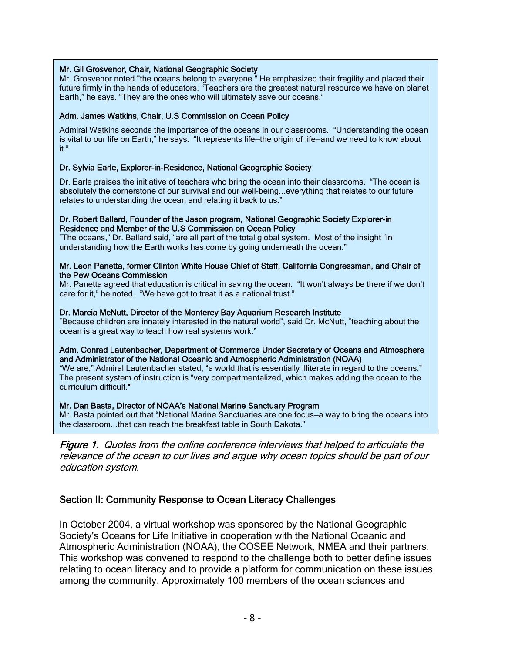#### Mr. Gil Grosvenor, Chair, National Geographic Society

Mr. Grosvenor noted "the oceans belong to everyone." He emphasized their fragility and placed their future firmly in the hands of educators. "Teachers are the greatest natural resource we have on planet Earth," he says. "They are the ones who will ultimately save our oceans."

#### Adm. James Watkins, Chair, U.S Commission on Ocean Policy

Admiral Watkins seconds the importance of the oceans in our classrooms. "Understanding the ocean is vital to our life on Earth," he says. "It represents life—the origin of life—and we need to know about it."

### Dr. Sylvia Earle, Explorer-in-Residence, National Geographic Society

Dr. Earle praises the initiative of teachers who bring the ocean into their classrooms. "The ocean is absolutely the cornerstone of our survival and our well-being...everything that relates to our future relates to understanding the ocean and relating it back to us."

#### Dr. Robert Ballard, Founder of the Jason program, National Geographic Society Explorer-in Residence and Member of the U.S Commission on Ocean Policy

"The oceans," Dr. Ballard said, "are all part of the total global system. Most of the insight "in understanding how the Earth works has come by going underneath the ocean."

#### Mr. Leon Panetta, former Clinton White House Chief of Staff, California Congressman, and Chair of the Pew Oceans Commission

Mr. Panetta agreed that education is critical in saving the ocean. "It won't always be there if we don't care for it," he noted. "We have got to treat it as a national trust."

#### Dr. Marcia McNutt, Director of the Monterey Bay Aquarium Research Institute

"Because children are innately interested in the natural world", said Dr. McNutt, "teaching about the ocean is a great way to teach how real systems work."

#### Adm. Conrad Lautenbacher, Department of Commerce Under Secretary of Oceans and Atmosphere and Administrator of the National Oceanic and Atmospheric Administration (NOAA)

"We are," Admiral Lautenbacher stated, "a world that is essentially illiterate in regard to the oceans." The present system of instruction is "very compartmentalized, which makes adding the ocean to the curriculum difficult."

#### Mr. Dan Basta, Director of NOAA's National Marine Sanctuary Program

Mr. Basta pointed out that "National Marine Sanctuaries are one focus—a way to bring the oceans into the classroom...that can reach the breakfast table in South Dakota."

Figure 1. Quotes from the online conference interviews that helped to articulate the relevance of the ocean to our lives and argue why ocean topics should be part of our education system.

### Section II: Community Response to Ocean Literacy Challenges

In October 2004, a virtual workshop was sponsored by the National Geographic Society's Oceans for Life Initiative in cooperation with the National Oceanic and Atmospheric Administration (NOAA), the COSEE Network, NMEA and their partners. This workshop was convened to respond to the challenge both to better define issues relating to ocean literacy and to provide a platform for communication on these issues among the community. Approximately 100 members of the ocean sciences and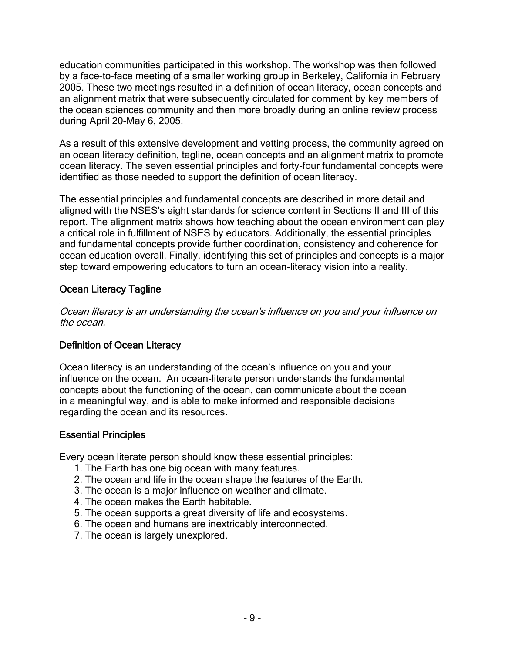education communities participated in this workshop. The workshop was then followed by a face-to-face meeting of a smaller working group in Berkeley, California in February 2005. These two meetings resulted in a definition of ocean literacy, ocean concepts and an alignment matrix that were subsequently circulated for comment by key members of the ocean sciences community and then more broadly during an online review process during April 20-May 6, 2005.

As a result of this extensive development and vetting process, the community agreed on an ocean literacy definition, tagline, ocean concepts and an alignment matrix to promote ocean literacy. The seven essential principles and forty-four fundamental concepts were identified as those needed to support the definition of ocean literacy.

The essential principles and fundamental concepts are described in more detail and aligned with the NSES's eight standards for science content in Sections II and III of this report. The alignment matrix shows how teaching about the ocean environment can play a critical role in fulfillment of NSES by educators. Additionally, the essential principles and fundamental concepts provide further coordination, consistency and coherence for ocean education overall. Finally, identifying this set of principles and concepts is a major step toward empowering educators to turn an ocean-literacy vision into a reality.

## Ocean Literacy Tagline

Ocean literacy is an understanding the ocean's influence on you and your influence on the ocean.

## Definition of Ocean Literacy

Ocean literacy is an understanding of the ocean's influence on you and your influence on the ocean. An ocean-literate person understands the fundamental concepts about the functioning of the ocean, can communicate about the ocean in a meaningful way, and is able to make informed and responsible decisions regarding the ocean and its resources.

## Essential Principles

Every ocean literate person should know these essential principles:

- 1. The Earth has one big ocean with many features.
- 2. The ocean and life in the ocean shape the features of the Earth.
- 3. The ocean is a major influence on weather and climate.
- 4. The ocean makes the Earth habitable.
- 5. The ocean supports a great diversity of life and ecosystems.
- 6. The ocean and humans are inextricably interconnected.
- 7. The ocean is largely unexplored.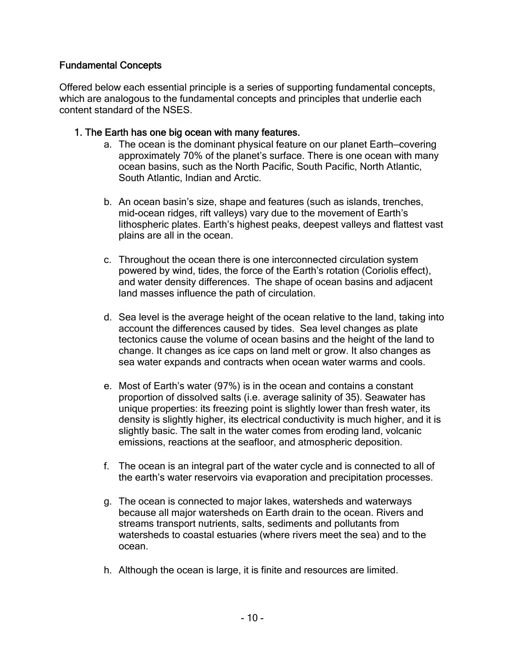## Fundamental Concepts

Offered below each essential principle is a series of supporting fundamental concepts, which are analogous to the fundamental concepts and principles that underlie each content standard of the NSES.

### 1. The Earth has one big ocean with many features.

- a. The ocean is the dominant physical feature on our planet Earth—covering approximately 70% of the planet's surface. There is one ocean with many ocean basins, such as the North Pacific, South Pacific, North Atlantic, South Atlantic, Indian and Arctic.
- b. An ocean basin's size, shape and features (such as islands, trenches, mid-ocean ridges, rift valleys) vary due to the movement of Earth's lithospheric plates. Earth's highest peaks, deepest valleys and flattest vast plains are all in the ocean.
- c. Throughout the ocean there is one interconnected circulation system powered by wind, tides, the force of the Earth's rotation (Coriolis effect), and water density differences. The shape of ocean basins and adjacent land masses influence the path of circulation.
- d. Sea level is the average height of the ocean relative to the land, taking into account the differences caused by tides. Sea level changes as plate tectonics cause the volume of ocean basins and the height of the land to change. It changes as ice caps on land melt or grow. It also changes as sea water expands and contracts when ocean water warms and cools.
- e. Most of Earth's water (97%) is in the ocean and contains a constant proportion of dissolved salts (i.e. average salinity of 35). Seawater has unique properties: its freezing point is slightly lower than fresh water, its density is slightly higher, its electrical conductivity is much higher, and it is slightly basic. The salt in the water comes from eroding land, volcanic emissions, reactions at the seafloor, and atmospheric deposition.
- f. The ocean is an integral part of the water cycle and is connected to all of the earth's water reservoirs via evaporation and precipitation processes.
- g. The ocean is connected to major lakes, watersheds and waterways because all major watersheds on Earth drain to the ocean. Rivers and streams transport nutrients, salts, sediments and pollutants from watersheds to coastal estuaries (where rivers meet the sea) and to the ocean.
- h. Although the ocean is large, it is finite and resources are limited.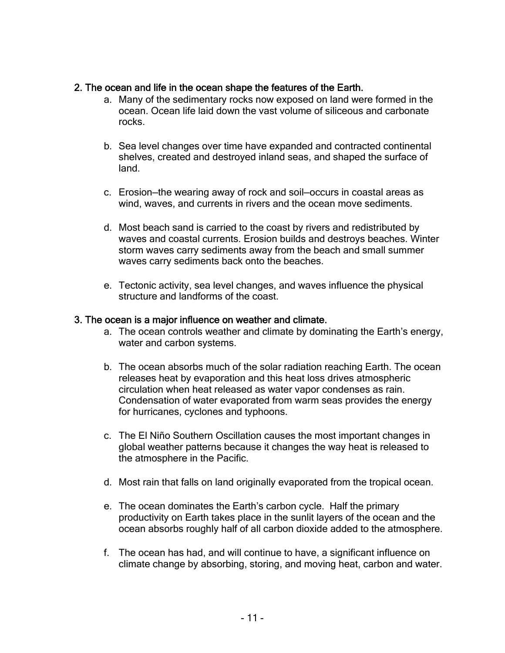### 2. The ocean and life in the ocean shape the features of the Earth.

- a. Many of the sedimentary rocks now exposed on land were formed in the ocean. Ocean life laid down the vast volume of siliceous and carbonate rocks.
- b. Sea level changes over time have expanded and contracted continental shelves, created and destroyed inland seas, and shaped the surface of land.
- c. Erosion—the wearing away of rock and soil—occurs in coastal areas as wind, waves, and currents in rivers and the ocean move sediments.
- d. Most beach sand is carried to the coast by rivers and redistributed by waves and coastal currents. Erosion builds and destroys beaches. Winter storm waves carry sediments away from the beach and small summer waves carry sediments back onto the beaches.
- e. Tectonic activity, sea level changes, and waves influence the physical structure and landforms of the coast.

### 3. The ocean is a major influence on weather and climate.

- a. The ocean controls weather and climate by dominating the Earth's energy, water and carbon systems.
- b. The ocean absorbs much of the solar radiation reaching Earth. The ocean releases heat by evaporation and this heat loss drives atmospheric circulation when heat released as water vapor condenses as rain. Condensation of water evaporated from warm seas provides the energy for hurricanes, cyclones and typhoons.
- c. The El Niño Southern Oscillation causes the most important changes in global weather patterns because it changes the way heat is released to the atmosphere in the Pacific.
- d. Most rain that falls on land originally evaporated from the tropical ocean.
- e. The ocean dominates the Earth's carbon cycle. Half the primary productivity on Earth takes place in the sunlit layers of the ocean and the ocean absorbs roughly half of all carbon dioxide added to the atmosphere.
- f. The ocean has had, and will continue to have, a significant influence on climate change by absorbing, storing, and moving heat, carbon and water.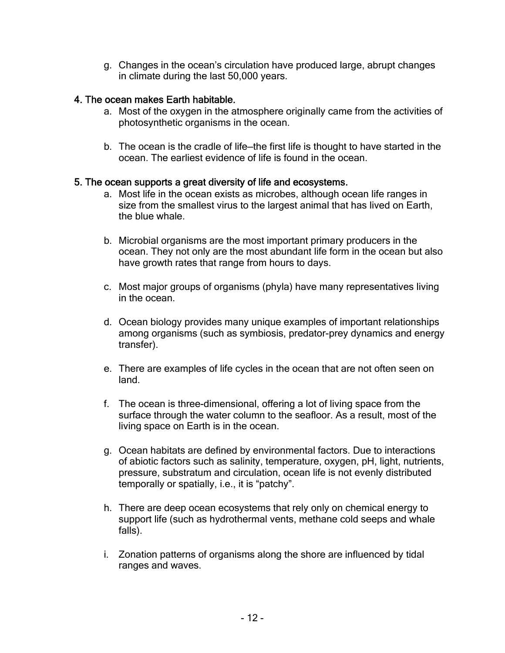g. Changes in the ocean's circulation have produced large, abrupt changes in climate during the last 50,000 years.

## 4. The ocean makes Earth habitable.

- a. Most of the oxygen in the atmosphere originally came from the activities of photosynthetic organisms in the ocean.
- b. The ocean is the cradle of life—the first life is thought to have started in the ocean. The earliest evidence of life is found in the ocean.

### 5. The ocean supports a great diversity of life and ecosystems.

- a. Most life in the ocean exists as microbes, although ocean life ranges in size from the smallest virus to the largest animal that has lived on Earth, the blue whale.
- b. Microbial organisms are the most important primary producers in the ocean. They not only are the most abundant life form in the ocean but also have growth rates that range from hours to days.
- c. Most major groups of organisms (phyla) have many representatives living in the ocean.
- d. Ocean biology provides many unique examples of important relationships among organisms (such as symbiosis, predator-prey dynamics and energy transfer).
- e. There are examples of life cycles in the ocean that are not often seen on land.
- f. The ocean is three-dimensional, offering a lot of living space from the surface through the water column to the seafloor. As a result, most of the living space on Earth is in the ocean.
- g. Ocean habitats are defined by environmental factors. Due to interactions of abiotic factors such as salinity, temperature, oxygen, pH, light, nutrients, pressure, substratum and circulation, ocean life is not evenly distributed temporally or spatially, i.e., it is "patchy".
- h. There are deep ocean ecosystems that rely only on chemical energy to support life (such as hydrothermal vents, methane cold seeps and whale falls).
- i. Zonation patterns of organisms along the shore are influenced by tidal ranges and waves.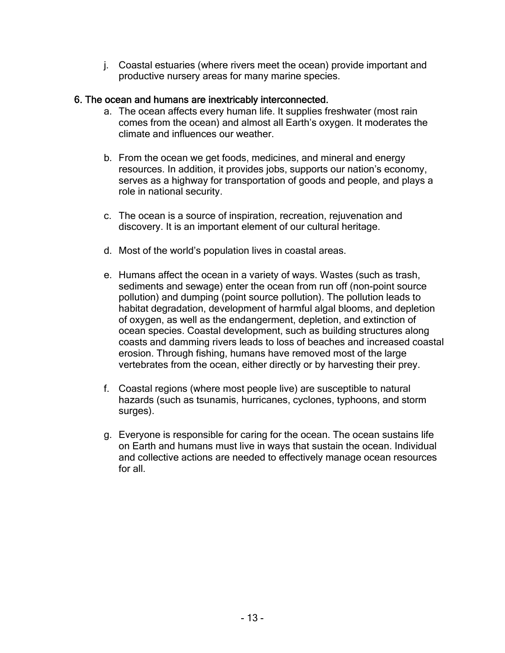j. Coastal estuaries (where rivers meet the ocean) provide important and productive nursery areas for many marine species.

## 6. The ocean and humans are inextricably interconnected.

- a. The ocean affects every human life. It supplies freshwater (most rain comes from the ocean) and almost all Earth's oxygen. It moderates the climate and influences our weather.
- b. From the ocean we get foods, medicines, and mineral and energy resources. In addition, it provides jobs, supports our nation's economy, serves as a highway for transportation of goods and people, and plays a role in national security.
- c. The ocean is a source of inspiration, recreation, rejuvenation and discovery. It is an important element of our cultural heritage.
- d. Most of the world's population lives in coastal areas.
- e. Humans affect the ocean in a variety of ways. Wastes (such as trash, sediments and sewage) enter the ocean from run off (non-point source pollution) and dumping (point source pollution). The pollution leads to habitat degradation, development of harmful algal blooms, and depletion of oxygen, as well as the endangerment, depletion, and extinction of ocean species. Coastal development, such as building structures along coasts and damming rivers leads to loss of beaches and increased coastal erosion. Through fishing, humans have removed most of the large vertebrates from the ocean, either directly or by harvesting their prey.
- f. Coastal regions (where most people live) are susceptible to natural hazards (such as tsunamis, hurricanes, cyclones, typhoons, and storm surges).
- g. Everyone is responsible for caring for the ocean. The ocean sustains life on Earth and humans must live in ways that sustain the ocean. Individual and collective actions are needed to effectively manage ocean resources for all.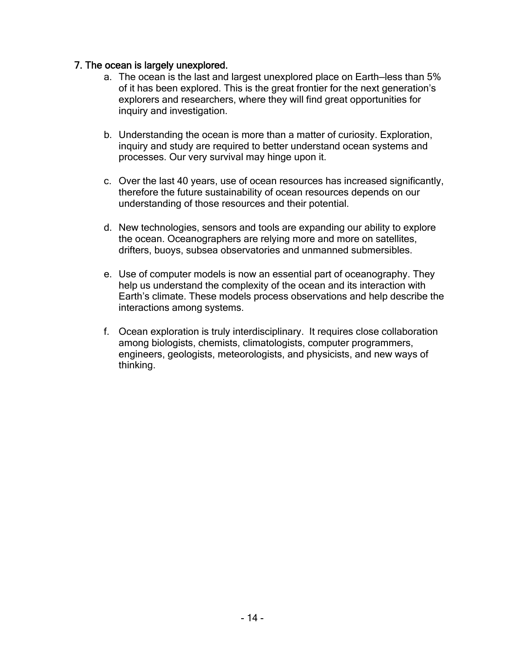### 7. The ocean is largely unexplored.

- a. The ocean is the last and largest unexplored place on Earth—less than 5% of it has been explored. This is the great frontier for the next generation's explorers and researchers, where they will find great opportunities for inquiry and investigation.
- b. Understanding the ocean is more than a matter of curiosity. Exploration, inquiry and study are required to better understand ocean systems and processes. Our very survival may hinge upon it.
- c. Over the last 40 years, use of ocean resources has increased significantly, therefore the future sustainability of ocean resources depends on our understanding of those resources and their potential.
- d. New technologies, sensors and tools are expanding our ability to explore the ocean. Oceanographers are relying more and more on satellites, drifters, buoys, subsea observatories and unmanned submersibles.
- e. Use of computer models is now an essential part of oceanography. They help us understand the complexity of the ocean and its interaction with Earth's climate. These models process observations and help describe the interactions among systems.
- f. Ocean exploration is truly interdisciplinary. It requires close collaboration among biologists, chemists, climatologists, computer programmers, engineers, geologists, meteorologists, and physicists, and new ways of thinking.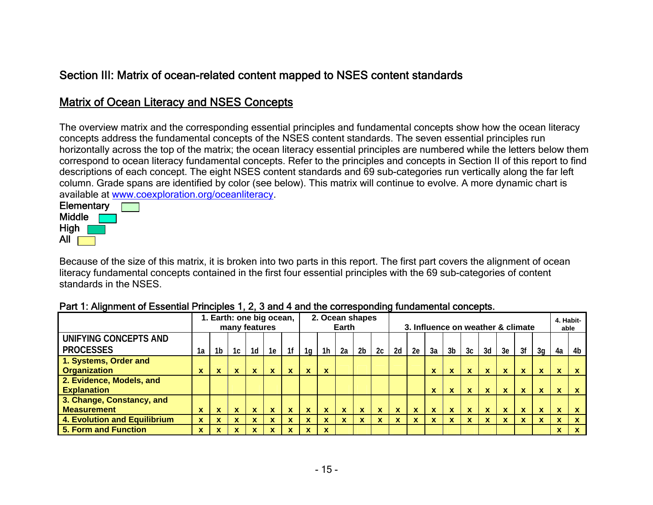# Section III: Matrix of ocean-related content mapped to NSES content standards

# Matrix of Ocean Literacy and NSES Concepts

The overview matrix and the corresponding essential principles and fundamental concepts show how the ocean literacy concepts address the fundamental concepts of the NSES content standards. The seven essential principles run horizontally across the top of the matrix; the ocean literacy essential principles are numbered while the letters below them correspond to ocean literacy fundamental concepts. Refer to the principles and concepts in Section II of this report to find descriptions of each concept. The eight NSES content standards and 69 sub-categories run vertically along the far left column. Grade spans are identified by color (see below). This matrix will continue to evolve. A more dynamic chart is available at www.coexploration.org/oceanliteracy.



Because of the size of this matrix, it is broken into two parts in this report. The first part covers the alignment of ocean literacy fundamental concepts contained in the first four essential principles with the 69 sub-categories of content standards in the NSES.

|                                                |             |                           |              | 1. Earth: one big ocean,<br>many features |             |              |    |              | 2. Ocean shapes<br>Earth |                |             |              |             |              | 3. Influence on weather & climate |              |                           |              |             |          | 4. Habit-<br>able             |             |
|------------------------------------------------|-------------|---------------------------|--------------|-------------------------------------------|-------------|--------------|----|--------------|--------------------------|----------------|-------------|--------------|-------------|--------------|-----------------------------------|--------------|---------------------------|--------------|-------------|----------|-------------------------------|-------------|
| UNIFYING CONCEPTS AND<br><b>PROCESSES</b>      | 1a          | 1b                        | 1c           | 1d                                        | 1e          | 1f           | 1a | 1h           | 2a                       | 2 <sub>b</sub> | 2c          | 2d           | 2e          | 3a           | 3b                                | 3c           | 3d                        | 3e           | 3f          | 3q       | 4a                            | 4b          |
| 1. Systems, Order and<br><b>Organization</b>   | X           | $\mathbf x$               | X            | $\overline{\phantom{a}}$<br>^             | $\mathbf x$ | v            | X  | X            |                          |                |             |              |             | $\mathbf x$  | X                                 | $\mathbf x$  | $\mathbf x$               | $\mathbf x$  | X           | X        | $\overline{\phantom{a}}$<br>A | $\mathbf x$ |
| 2. Evidence, Models, and<br><b>Explanation</b> |             |                           |              |                                           |             |              |    |              |                          |                |             |              |             | X            | X                                 | $\mathbf x$  | $\mathbf x$               | $\mathbf x$  | $\mathbf x$ | X        | x.                            | X           |
| 3. Change, Constancy, and                      |             |                           |              |                                           |             |              |    |              |                          |                |             |              |             |              |                                   |              |                           |              |             |          |                               |             |
| <b>Measurement</b>                             | <b>X</b>    | $\boldsymbol{\mathsf{x}}$ | $\mathbf{x}$ | x                                         | $\mathbf x$ | $\mathbf{x}$ | X  | $\mathbf{x}$ | x                        | <b>X</b>       | $\mathbf x$ | $\mathbf{x}$ | $\mathbf x$ | $\mathbf{x}$ | $\mathbf x$                       | $\mathbf{x}$ | $\boldsymbol{\mathsf{x}}$ | $\mathbf{x}$ | $\mathbf x$ | <b>X</b> | X.                            | X           |
| <b>4. Evolution and Equilibrium</b>            | X           | $\mathbf x$               | x            |                                           | x           |              | x  |              | X                        |                | x           | x            | X           | $\mathbf x$  | x                                 | x            | $\mathbf x$               | x            | X           | X        | 灬                             | $\mathbf x$ |
| 5. Form and Function                           | $\mathbf x$ | $\mathbf x$               | X            |                                           | X           |              | X  | X            |                          |                |             |              |             |              |                                   |              |                           |              |             |          | $\mathbf{v}$<br>А.            | X           |

### Part 1: Alignment of Essential Principles 1, 2, 3 and 4 and the corresponding fundamental concepts.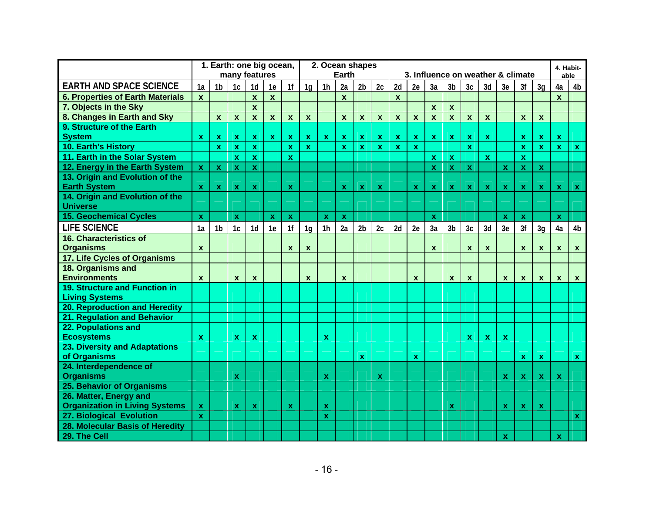|                                                    |                           | 1. Earth: one big ocean, |                           |                  |                           |                           |                |                    | 2. Ocean shapes           |                           |              |              |                  |              |                  |                |              |                                   |                           |                           |                           | 4. Habit-      |
|----------------------------------------------------|---------------------------|--------------------------|---------------------------|------------------|---------------------------|---------------------------|----------------|--------------------|---------------------------|---------------------------|--------------|--------------|------------------|--------------|------------------|----------------|--------------|-----------------------------------|---------------------------|---------------------------|---------------------------|----------------|
|                                                    |                           |                          | many features             |                  |                           |                           |                |                    | <b>Earth</b>              |                           |              |              |                  |              |                  |                |              | 3. Influence on weather & climate |                           |                           |                           | able           |
| <b>EARTH AND SPACE SCIENCE</b>                     | 1a                        | 1 <sub>b</sub>           | 1c                        | 1d               | 1e                        | 1f                        | 1 <sub>g</sub> | 1 <sub>h</sub>     | 2a                        | 2 <sub>b</sub>            | 2c           | 2d           | 2e               | 3a           | 3 <sub>b</sub>   | 3 <sub>c</sub> | 3d           | 3e                                | 3f                        | 3q                        | 4a                        | 4 <sub>b</sub> |
| <b>6. Properties of Earth Materials</b>            | $\mathbf{x}$              |                          |                           | $\mathbf{x}$     | $\mathbf{x}$              |                           |                |                    | $\mathbf{x}$              |                           |              | $\mathbf{x}$ |                  |              |                  |                |              |                                   |                           |                           | $\mathbf{x}$              |                |
| 7. Objects in the Sky                              |                           |                          |                           | $\mathbf{x}$     |                           |                           |                |                    |                           |                           |              |              |                  | $\mathbf{x}$ | $\mathbf{x}$     |                |              |                                   |                           |                           |                           |                |
| 8. Changes in Earth and Sky                        |                           | $\mathbf{x}$             | $\mathbf{x}$              | $\mathbf{x}$     | $\mathbf{x}$              | $\mathbf{x}$              | $\mathbf{x}$   |                    | $\mathbf{x}$              | $\mathbf{x}$              | $\mathbf{x}$ | $\mathbf{x}$ | $\mathbf{x}$     | $\mathbf{x}$ | $\mathbf{x}$     | $\mathbf{x}$   | $\mathbf{x}$ |                                   | $\mathbf{x}$              | $\mathbf{x}$              |                           |                |
| 9. Structure of the Earth                          |                           |                          |                           |                  |                           |                           |                |                    |                           |                           |              |              |                  |              |                  |                |              |                                   |                           |                           |                           |                |
| <b>System</b>                                      | $\mathbf{x}$              | x                        | $\mathbf{x}$              | $\mathbf x$      | $\mathbf{x}$              | $\mathbf{x}$              | $\mathbf{x}$   | $\mathbf{x}$       | $\mathbf{x}$              | $\mathbf{x}$              | $\mathbf{x}$ | $\mathbf{x}$ | $\mathbf{x}$     | $\mathbf{x}$ | $\mathbf x$      | $\mathbf{x}$   | $\mathbf x$  |                                   | $\mathbf x$               | $\mathbf{x}$              | $\mathbf x$               |                |
| 10. Earth's History                                |                           | $\mathbf x$              | $\mathbf{x}$              | $\mathbf{x}$     |                           | $\mathbf{x}$              | $\mathbf{x}$   |                    | $\mathbf x$               | $\mathbf{x}$              | $\mathbf{x}$ | $\mathbf{x}$ | $\mathbf{x}$     |              |                  | $\mathbf{x}$   |              |                                   | $\mathbf x$               | $\mathbf{x}$              | $\mathbf{x}$              | $\mathbf{x}$   |
| 11. Earth in the Solar System                      |                           |                          | $\mathbf{x}$              | $\mathbf x$      |                           | $\mathbf{x}$              |                |                    |                           |                           |              |              |                  | <b>X</b>     | $\mathbf x$      |                | $\mathbf x$  |                                   | $\mathbf x$               |                           |                           |                |
| 12. Energy in the Earth System                     | $\boldsymbol{\mathsf{X}}$ | $\mathbf x$              | $\mathbf x$               | $\mathbf{x}$     |                           |                           |                |                    |                           |                           |              |              |                  | $\mathbf x$  | X                | $\mathbf{x}$   |              | $\mathbf x$                       | $\mathbf x$               | $\mathbf{x}$              |                           |                |
| 13. Origin and Evolution of the                    |                           |                          |                           |                  |                           |                           |                |                    |                           |                           |              |              |                  |              |                  |                |              |                                   |                           |                           |                           |                |
| <b>Earth System</b>                                | X                         | X                        | $\mathbf x$               | $\mathbf x$      |                           | $\mathbf x$               |                |                    | $\mathbf x$               | $\mathbf x$               | $\mathbf x$  |              | $\mathbf{x}$     | $\mathbf x$  | X                | $\mathbf{x}$   | X            | $\mathbf x$                       | $\mathbf{x}$              | $\mathbf{x}$              | $\mathbf x$               | $\mathbf{x}$   |
| 14. Origin and Evolution of the<br><b>Universe</b> |                           |                          |                           |                  |                           |                           |                |                    |                           |                           |              |              |                  |              |                  |                |              |                                   |                           |                           |                           |                |
| <b>15. Geochemical Cycles</b>                      | $\pmb{\mathsf{x}}$        |                          | $\boldsymbol{\mathsf{X}}$ |                  | $\boldsymbol{\mathsf{X}}$ | $\boldsymbol{\mathsf{X}}$ |                | $\pmb{\mathsf{x}}$ | $\mathbf{x}$              |                           |              |              |                  | $\mathbf x$  |                  |                |              | $\boldsymbol{\mathsf{X}}$         | $\boldsymbol{\mathsf{X}}$ |                           | $\mathbf{x}$              |                |
| <b>LIFE SCIENCE</b>                                | 1a                        | 1 <sub>b</sub>           | 1c                        | 1 <sub>d</sub>   | 1e                        | 1 <sup>f</sup>            | 1 <sub>q</sub> | 1 <sub>h</sub>     | 2a                        | 2 <sub>b</sub>            | 2c           | 2d           | 2e               | 3a           | 3 <sub>b</sub>   | 3c             | 3d           | 3e                                | 3f                        | 3q                        | 4a                        | 4 <sub>b</sub> |
| <b>16. Characteristics of</b>                      |                           |                          |                           |                  |                           |                           |                |                    |                           |                           |              |              |                  |              |                  |                |              |                                   |                           |                           |                           |                |
| <b>Organisms</b>                                   | $\mathbf{x}$              |                          |                           |                  |                           | $\mathbf x$               | X              |                    |                           |                           |              |              |                  | $\mathbf x$  |                  | $\mathbf{x}$   | $\mathbf x$  |                                   | $\mathbf x$               | $\mathbf{x}$              | $\boldsymbol{x}$          | $\mathbf{x}$   |
| 17. Life Cycles of Organisms                       |                           |                          |                           |                  |                           |                           |                |                    |                           |                           |              |              |                  |              |                  |                |              |                                   |                           |                           |                           |                |
| 18. Organisms and                                  |                           |                          |                           |                  |                           |                           |                |                    |                           |                           |              |              |                  |              |                  |                |              |                                   |                           |                           |                           |                |
| <b>Environments</b>                                | $\pmb{\mathsf{x}}$        |                          | $\mathbf{x}$              | $\boldsymbol{x}$ |                           |                           | $\mathbf{x}$   |                    | $\boldsymbol{\mathsf{x}}$ |                           |              |              | $\boldsymbol{x}$ |              | $\boldsymbol{x}$ | $\pmb{\chi}$   |              | $\boldsymbol{x}$                  | $\pmb{\chi}$              | $\pmb{\chi}$              | $\boldsymbol{\mathsf{x}}$ | $\mathbf{x}$   |
| 19. Structure and Function in                      |                           |                          |                           |                  |                           |                           |                |                    |                           |                           |              |              |                  |              |                  |                |              |                                   |                           |                           |                           |                |
| <b>Living Systems</b>                              |                           |                          |                           |                  |                           |                           |                |                    |                           |                           |              |              |                  |              |                  |                |              |                                   |                           |                           |                           |                |
| <b>20. Reproduction and Heredity</b>               |                           |                          |                           |                  |                           |                           |                |                    |                           |                           |              |              |                  |              |                  |                |              |                                   |                           |                           |                           |                |
| 21. Regulation and Behavior                        |                           |                          |                           |                  |                           |                           |                |                    |                           |                           |              |              |                  |              |                  |                |              |                                   |                           |                           |                           |                |
| 22. Populations and                                |                           |                          |                           |                  |                           |                           |                |                    |                           |                           |              |              |                  |              |                  |                |              |                                   |                           |                           |                           |                |
| <b>Ecosystems</b>                                  | $\pmb{\mathsf{x}}$        |                          | $\mathbf x$               | $\mathbf{x}$     |                           |                           |                | $\mathbf{x}$       |                           |                           |              |              |                  |              |                  | $\mathbf{x}$   | X.           | $\boldsymbol{\mathsf{X}}$         |                           |                           |                           |                |
| 23. Diversity and Adaptations                      |                           |                          |                           |                  |                           |                           |                |                    |                           |                           |              |              |                  |              |                  |                |              |                                   |                           |                           |                           |                |
| of Organisms                                       |                           |                          |                           |                  |                           |                           |                |                    |                           | $\boldsymbol{\mathsf{X}}$ |              |              | $\mathbf x$      |              |                  |                |              |                                   | $\mathbf{x}$              | $\boldsymbol{\mathsf{X}}$ |                           | $\mathbf{x}$   |
| 24. Interdependence of                             |                           |                          |                           |                  |                           |                           |                |                    |                           |                           |              |              |                  |              |                  |                |              |                                   |                           |                           |                           |                |
| <b>Organisms</b>                                   |                           |                          | $\mathbf x$               |                  |                           |                           |                | $\mathbf x$        |                           |                           | $\mathbf x$  |              |                  |              |                  |                |              | $\mathbf{x}$                      | $\mathbf x$               | $\boldsymbol{\mathsf{X}}$ | $\mathbf x$               |                |
| 25. Behavior of Organisms                          |                           |                          |                           |                  |                           |                           |                |                    |                           |                           |              |              |                  |              |                  |                |              |                                   |                           |                           |                           |                |
| 26. Matter, Energy and                             |                           |                          |                           |                  |                           |                           |                |                    |                           |                           |              |              |                  |              |                  |                |              |                                   |                           |                           |                           |                |
| <b>Organization in Living Systems</b>              | $\mathbf x$               |                          | $\mathbf x$               | $\mathbf x$      |                           | $\mathbf x$               |                | $\mathbf{x}$       |                           |                           |              |              |                  |              | X                |                |              | $\mathbf x$                       | $\boldsymbol{\mathsf{x}}$ | $\mathbf{x}$              |                           |                |
| 27. Biological Evolution                           | $\mathbf{x}$              |                          |                           |                  |                           |                           |                | $\mathbf x$        |                           |                           |              |              |                  |              |                  |                |              |                                   |                           |                           |                           | $\mathbf{x}$   |
| 28. Molecular Basis of Heredity                    |                           |                          |                           |                  |                           |                           |                |                    |                           |                           |              |              |                  |              |                  |                |              |                                   |                           |                           |                           |                |
| 29. The Cell                                       |                           |                          |                           |                  |                           |                           |                |                    |                           |                           |              |              |                  |              |                  |                |              | $\mathbf{x}$                      |                           |                           | $\mathbf{x}$              |                |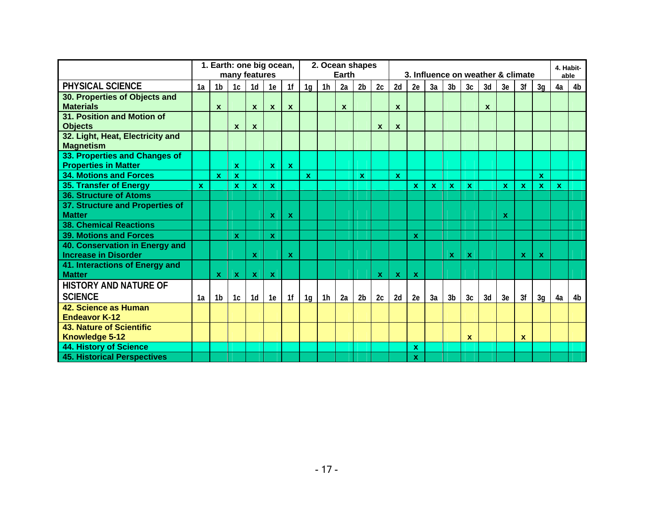|                                                               |              | 1. Earth: one big ocean, | many features             |                  |                           |                           |                |                | 2. Ocean shapes<br><b>Earth</b> |                |                           |                           |                           |    | 3. Influence on weather & climate |              |              |              |          |              |    | 4. Habit-<br>able |
|---------------------------------------------------------------|--------------|--------------------------|---------------------------|------------------|---------------------------|---------------------------|----------------|----------------|---------------------------------|----------------|---------------------------|---------------------------|---------------------------|----|-----------------------------------|--------------|--------------|--------------|----------|--------------|----|-------------------|
| PHYSICAL SCIENCE                                              | 1a           | 1b                       | 1c                        | 1d               | 1e                        | 1 <sup>f</sup>            | 1 <sub>g</sub> | 1h             | 2a                              | 2 <sub>b</sub> | 2c                        | 2d                        | 2e                        | 3a | 3 <sub>b</sub>                    | 3c           | 3d           | 3e           | 3f       | 3g           | 4a | 4b                |
| 30. Properties of Objects and<br><b>Materials</b>             |              | $\mathbf{x}$             |                           | $\mathbf{x}$     | $\boldsymbol{\mathsf{x}}$ | $\mathbf x$               |                |                | $\boldsymbol{x}$                |                |                           | $\mathbf{x}$              |                           |    |                                   |              | $\mathbf{x}$ |              |          |              |    |                   |
| 31. Position and Motion of<br><b>Objects</b>                  |              |                          | $\mathbf x$               | $\boldsymbol{x}$ |                           |                           |                |                |                                 |                | $\boldsymbol{\mathsf{x}}$ | $\boldsymbol{\mathsf{x}}$ |                           |    |                                   |              |              |              |          |              |    |                   |
| 32. Light, Heat, Electricity and<br><b>Magnetism</b>          |              |                          |                           |                  |                           |                           |                |                |                                 |                |                           |                           |                           |    |                                   |              |              |              |          |              |    |                   |
| 33. Properties and Changes of                                 |              |                          |                           |                  |                           |                           |                |                |                                 |                |                           |                           |                           |    |                                   |              |              |              |          |              |    |                   |
| <b>Properties in Matter</b>                                   |              |                          | $\mathbf{x}$              |                  | $\mathbf x$               | $\mathbf{x}$              |                |                |                                 |                |                           |                           |                           |    |                                   |              |              |              |          |              |    |                   |
| <b>34. Motions and Forces</b>                                 |              | $\mathbf x$              | $\mathbf{x}$              |                  |                           |                           | $\mathbf x$    |                |                                 | $\mathbf{x}$   |                           | $\mathbf{x}$              |                           |    |                                   |              |              |              |          | $\mathbf{x}$ |    |                   |
| 35. Transfer of Energy                                        | $\mathbf{x}$ |                          | $\mathbf{x}$              | X.               | $\mathbf{x}$              |                           |                |                |                                 |                |                           |                           | x                         | X. | <b>X</b>                          | $\mathbf{x}$ |              | $\mathbf{x}$ | <b>X</b> | $\mathbf x$  | X. |                   |
| 36. Structure of Atoms                                        |              |                          |                           |                  |                           |                           |                |                |                                 |                |                           |                           |                           |    |                                   |              |              |              |          |              |    |                   |
| 37. Structure and Properties of<br><b>Matter</b>              |              |                          |                           |                  | X                         | $\boldsymbol{\mathsf{x}}$ |                |                |                                 |                |                           |                           |                           |    |                                   |              |              | $\mathbf x$  |          |              |    |                   |
| <b>38. Chemical Reactions</b>                                 |              |                          |                           |                  |                           |                           |                |                |                                 |                |                           |                           |                           |    |                                   |              |              |              |          |              |    |                   |
| <b>39. Motions and Forces</b>                                 |              |                          | $\mathbf x$               |                  | $\mathbf x$               |                           |                |                |                                 |                |                           |                           | $\boldsymbol{\mathsf{x}}$ |    |                                   |              |              |              |          |              |    |                   |
| 40. Conservation in Energy and<br><b>Increase in Disorder</b> |              |                          |                           | $\mathbf x$      |                           | $\mathbf x$               |                |                |                                 |                |                           |                           |                           |    | X                                 | $\mathbf x$  |              |              | <b>X</b> | $\mathbf x$  |    |                   |
| 41. Interactions of Energy and<br><b>Matter</b>               |              | $\mathbf x$              | $\boldsymbol{\mathsf{x}}$ | $\mathbf{x}$     | $\mathbf x$               |                           |                |                |                                 |                | $\boldsymbol{\mathsf{x}}$ | $\mathbf x$               | $\mathbf{x}$              |    |                                   |              |              |              |          |              |    |                   |
| <b>HISTORY AND NATURE OF</b>                                  |              |                          |                           |                  |                           |                           |                |                |                                 |                |                           |                           |                           |    |                                   |              |              |              |          |              |    |                   |
| <b>SCIENCE</b>                                                | 1a           | 1b                       | 1c                        | 1d               | 1e                        | 1 <sup>f</sup>            | 1 <sub>g</sub> | 1 <sub>h</sub> | 2a                              | 2 <sub>b</sub> | 2c                        | 2d                        | 2e                        | 3a | 3b                                | 3c           | 3d           | 3e           | 3f       | 3g           | 4a | 4 <sub>b</sub>    |
| 42. Science as Human<br><b>Endeavor K-12</b>                  |              |                          |                           |                  |                           |                           |                |                |                                 |                |                           |                           |                           |    |                                   |              |              |              |          |              |    |                   |
| <b>43. Nature of Scientific</b><br>Knowledge 5-12             |              |                          |                           |                  |                           |                           |                |                |                                 |                |                           |                           |                           |    |                                   | $\mathbf{x}$ |              |              | x        |              |    |                   |
| <b>44. History of Science</b>                                 |              |                          |                           |                  |                           |                           |                |                |                                 |                |                           |                           | X                         |    |                                   |              |              |              |          |              |    |                   |
| <b>45. Historical Perspectives</b>                            |              |                          |                           |                  |                           |                           |                |                |                                 |                |                           |                           | X                         |    |                                   |              |              |              |          |              |    |                   |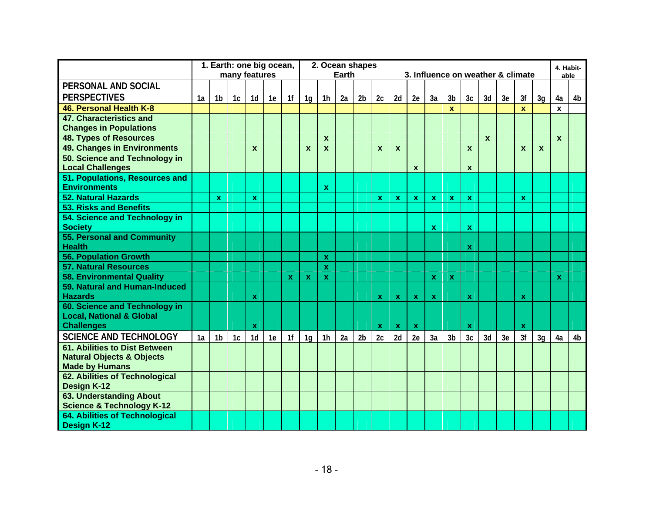|                                       |    | 1. Earth: one big ocean, |                |                |    |                |                  |                | 2. Ocean shapes |                |                           |              |                           |                           |                |                |              |                                   |              |                  |              | 4. Habit-      |
|---------------------------------------|----|--------------------------|----------------|----------------|----|----------------|------------------|----------------|-----------------|----------------|---------------------------|--------------|---------------------------|---------------------------|----------------|----------------|--------------|-----------------------------------|--------------|------------------|--------------|----------------|
|                                       |    |                          | many features  |                |    |                |                  |                | Earth           |                |                           |              |                           |                           |                |                |              | 3. Influence on weather & climate |              |                  | able         |                |
| PERSONAL AND SOCIAL                   |    |                          |                |                |    |                |                  |                |                 |                |                           |              |                           |                           |                |                |              |                                   |              |                  |              |                |
| <b>PERSPECTIVES</b>                   | 1a | 1b                       | 1c             | 1 <sub>d</sub> | 1e | 1f             | 1 <sub>q</sub>   | 1h             | 2a              | 2 <sub>b</sub> | 2c                        | 2d           | 2e                        | 3a                        | 3 <sub>b</sub> | 3c             | 3d           | 3e                                | 3f           | 3q               | 4a           | 4b             |
| 46. Personal Health K-8               |    |                          |                |                |    |                |                  |                |                 |                |                           |              |                           |                           | X              |                |              |                                   | $\mathbf x$  |                  | X            |                |
| 47. Characteristics and               |    |                          |                |                |    |                |                  |                |                 |                |                           |              |                           |                           |                |                |              |                                   |              |                  |              |                |
| <b>Changes in Populations</b>         |    |                          |                |                |    |                |                  |                |                 |                |                           |              |                           |                           |                |                |              |                                   |              |                  |              |                |
| <b>48. Types of Resources</b>         |    |                          |                |                |    |                |                  | $\mathbf{x}$   |                 |                |                           |              |                           |                           |                |                | $\mathbf{x}$ |                                   |              |                  | $\mathbf{x}$ |                |
| <b>49. Changes in Environments</b>    |    |                          |                | $\mathbf x$    |    |                | $\boldsymbol{x}$ | $\mathbf{x}$   |                 |                | X                         | $\mathbf{x}$ |                           |                           |                | $\mathbf{x}$   |              |                                   | $\mathbf{x}$ | $\boldsymbol{x}$ |              |                |
| 50. Science and Technology in         |    |                          |                |                |    |                |                  |                |                 |                |                           |              |                           |                           |                |                |              |                                   |              |                  |              |                |
| <b>Local Challenges</b>               |    |                          |                |                |    |                |                  |                |                 |                |                           |              | $\mathbf{x}$              |                           |                | $\mathbf{x}$   |              |                                   |              |                  |              |                |
| 51. Populations, Resources and        |    |                          |                |                |    |                |                  |                |                 |                |                           |              |                           |                           |                |                |              |                                   |              |                  |              |                |
| <b>Environments</b>                   |    |                          |                |                |    |                |                  | $\mathbf{x}$   |                 |                |                           |              |                           |                           |                |                |              |                                   |              |                  |              |                |
| <b>52. Natural Hazards</b>            |    | $\mathbf{x}$             |                | $\mathbf{x}$   |    |                |                  |                |                 |                | $\mathbf{x}$              | $\mathbf{x}$ | $\mathbf{x}$              | $\mathbf{x}$              | $\mathbf x$    | $\mathbf{x}$   |              |                                   | $\mathbf{x}$ |                  |              |                |
| <b>53. Risks and Benefits</b>         |    |                          |                |                |    |                |                  |                |                 |                |                           |              |                           |                           |                |                |              |                                   |              |                  |              |                |
| 54. Science and Technology in         |    |                          |                |                |    |                |                  |                |                 |                |                           |              |                           |                           |                |                |              |                                   |              |                  |              |                |
| <b>Society</b>                        |    |                          |                |                |    |                |                  |                |                 |                |                           |              |                           | $\mathbf{x}$              |                | $\mathbf x$    |              |                                   |              |                  |              |                |
| <b>55. Personal and Community</b>     |    |                          |                |                |    |                |                  |                |                 |                |                           |              |                           |                           |                |                |              |                                   |              |                  |              |                |
| <b>Health</b>                         |    |                          |                |                |    |                |                  |                |                 |                |                           |              |                           |                           |                | X.             |              |                                   |              |                  |              |                |
| <b>56. Population Growth</b>          |    |                          |                |                |    |                |                  | $\mathbf{x}$   |                 |                |                           |              |                           |                           |                |                |              |                                   |              |                  |              |                |
| <b>57. Natural Resources</b>          |    |                          |                |                |    |                |                  | $\mathbf{x}$   |                 |                |                           |              |                           |                           |                |                |              |                                   |              |                  |              |                |
| <b>58. Environmental Quality</b>      |    |                          |                |                |    | $\mathbf x$    | $\mathbf x$      | $\mathbf x$    |                 |                |                           |              |                           | $\boldsymbol{\mathsf{x}}$ | $\mathbf x$    |                |              |                                   |              |                  | $\mathbf x$  |                |
| 59. Natural and Human-Induced         |    |                          |                |                |    |                |                  |                |                 |                |                           |              |                           |                           |                |                |              |                                   |              |                  |              |                |
| <b>Hazards</b>                        |    |                          |                | $\mathbf x$    |    |                |                  |                |                 |                | $\boldsymbol{\mathsf{X}}$ | $\mathbf{x}$ | $\boldsymbol{\mathsf{X}}$ | $\boldsymbol{\mathsf{X}}$ |                | <b>X</b>       |              |                                   | $\mathbf x$  |                  |              |                |
| 60. Science and Technology in         |    |                          |                |                |    |                |                  |                |                 |                |                           |              |                           |                           |                |                |              |                                   |              |                  |              |                |
| <b>Local, National &amp; Global</b>   |    |                          |                |                |    |                |                  |                |                 |                |                           |              |                           |                           |                |                |              |                                   |              |                  |              |                |
| <b>Challenges</b>                     |    |                          |                | $\mathbf x$    |    |                |                  |                |                 |                | $\mathbf{x}$              | $\mathbf{x}$ | $\mathbf{x}$              |                           |                | <b>X</b>       |              |                                   | $\mathbf x$  |                  |              |                |
| <b>SCIENCE AND TECHNOLOGY</b>         | 1a | 1 <sub>b</sub>           | 1 <sub>c</sub> | 1 <sub>d</sub> | 1e | 1 <sup>f</sup> | 1 <sub>q</sub>   | 1 <sub>h</sub> | 2a              | 2 <sub>b</sub> | 2c                        | 2d           | 2e                        | 3a                        | 3 <sub>b</sub> | 3 <sub>c</sub> | 3d           | 3e                                | 3f           | 3q               | 4a           | 4 <sub>b</sub> |
| <b>61. Abilities to Dist Between</b>  |    |                          |                |                |    |                |                  |                |                 |                |                           |              |                           |                           |                |                |              |                                   |              |                  |              |                |
| <b>Natural Objects &amp; Objects</b>  |    |                          |                |                |    |                |                  |                |                 |                |                           |              |                           |                           |                |                |              |                                   |              |                  |              |                |
| <b>Made by Humans</b>                 |    |                          |                |                |    |                |                  |                |                 |                |                           |              |                           |                           |                |                |              |                                   |              |                  |              |                |
| 62. Abilities of Technological        |    |                          |                |                |    |                |                  |                |                 |                |                           |              |                           |                           |                |                |              |                                   |              |                  |              |                |
| Design K-12                           |    |                          |                |                |    |                |                  |                |                 |                |                           |              |                           |                           |                |                |              |                                   |              |                  |              |                |
| <b>63. Understanding About</b>        |    |                          |                |                |    |                |                  |                |                 |                |                           |              |                           |                           |                |                |              |                                   |              |                  |              |                |
| <b>Science &amp; Technology K-12</b>  |    |                          |                |                |    |                |                  |                |                 |                |                           |              |                           |                           |                |                |              |                                   |              |                  |              |                |
| <b>64. Abilities of Technological</b> |    |                          |                |                |    |                |                  |                |                 |                |                           |              |                           |                           |                |                |              |                                   |              |                  |              |                |
| <b>Design K-12</b>                    |    |                          |                |                |    |                |                  |                |                 |                |                           |              |                           |                           |                |                |              |                                   |              |                  |              |                |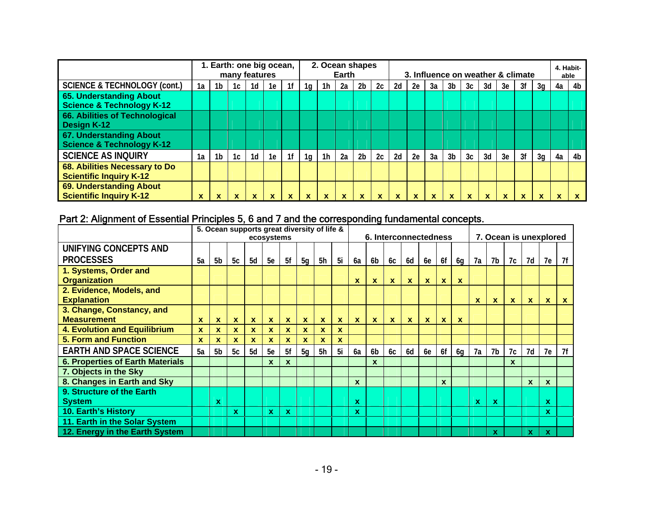|                                         |    | 1. Earth: one big ocean, | many features |    |    |                |                |                | Earth | 2. Ocean shapes |    |    | 3. Influence on weather & climate |    |                |    |    |    |    |          |    | 4. Habit-<br>able |
|-----------------------------------------|----|--------------------------|---------------|----|----|----------------|----------------|----------------|-------|-----------------|----|----|-----------------------------------|----|----------------|----|----|----|----|----------|----|-------------------|
| <b>SCIENCE &amp; TECHNOLOGY (cont.)</b> | 1a | 1b                       | 1c            | 1d | 1e | 1f             | 1g             | 1 <sub>h</sub> | 2a    | 2 <sub>b</sub>  | 2c | 2d | 2e                                | 3a | 3b             | 3c | 3d | 3e | 3f | 3q       | 4a | 4b                |
| 65. Understanding About                 |    |                          |               |    |    |                |                |                |       |                 |    |    |                                   |    |                |    |    |    |    |          |    |                   |
| <b>Science &amp; Technology K-12</b>    |    |                          |               |    |    |                |                |                |       |                 |    |    |                                   |    |                |    |    |    |    |          |    |                   |
| 66. Abilities of Technological          |    |                          |               |    |    |                |                |                |       |                 |    |    |                                   |    |                |    |    |    |    |          |    |                   |
| Design K-12                             |    |                          |               |    |    |                |                |                |       |                 |    |    |                                   |    |                |    |    |    |    |          |    |                   |
| 67. Understanding About                 |    |                          |               |    |    |                |                |                |       |                 |    |    |                                   |    |                |    |    |    |    |          |    |                   |
| <b>Science &amp; Technology K-12</b>    |    |                          |               |    |    |                |                |                |       |                 |    |    |                                   |    |                |    |    |    |    |          |    |                   |
| <b>SCIENCE AS INQUIRY</b>               | 1a | 1b                       | 1c            | 1d | 1e | 1 <sup>f</sup> | 1 <sub>q</sub> | 1 <sub>h</sub> | 2a    | 2 <sub>b</sub>  | 2c | 2d | 2e                                | 3a | 3 <sub>b</sub> | 3c | 3d | 3e | 3f | 3q       | 4a | 4b                |
| 68. Abilities Necessary to Do           |    |                          |               |    |    |                |                |                |       |                 |    |    |                                   |    |                |    |    |    |    |          |    |                   |
| <b>Scientific Inquiry K-12</b>          |    |                          |               |    |    |                |                |                |       |                 |    |    |                                   |    |                |    |    |    |    |          |    |                   |
| 69. Understanding About                 |    |                          |               |    |    |                |                |                |       |                 |    |    |                                   |    |                |    |    |    |    |          |    |                   |
| <b>Scientific Inquiry K-12</b>          | x  |                          | x.            | x  | x  | x              | x              | <b>X</b>       | x     | x               | х  | x  |                                   |    |                | ^  |    | x  |    | <b>X</b> | х  |                   |

# Part 2: Alignment of Essential Principles 5, 6 and 7 and the corresponding fundamental concepts.

|                                                 |              |                               |              |              | ecosystems   |              |                | 5. Ocean supports great diversity of life & |          |              | 6. Interconnectedness |              |              |              |              |    |              | 7. Ocean is unexplored |              |              |              |              |
|-------------------------------------------------|--------------|-------------------------------|--------------|--------------|--------------|--------------|----------------|---------------------------------------------|----------|--------------|-----------------------|--------------|--------------|--------------|--------------|----|--------------|------------------------|--------------|--------------|--------------|--------------|
| UNIFYING CONCEPTS AND<br><b>PROCESSES</b>       | 5a           | 5b                            | 5c           | 5d           | 5e           | 5f           | 5 <sub>q</sub> | 5h                                          | 5i       | 6a           | 6b                    | 6c           | 6d           | <b>6e</b>    | 6f           | 6g | 7a           | 7b                     | 7c           | 7d           | 7e           | 7f           |
| 1. Systems, Order and<br><b>Organization</b>    |              |                               |              |              |              |              |                |                                             |          | X            | $\mathbf{x}$          | $\mathbf{x}$ | $\mathbf{x}$ | $\mathbf{x}$ | $\mathbf{x}$ | X  |              |                        |              |              |              |              |
| 2. Evidence, Models, and<br><b>Explanation</b>  |              |                               |              |              |              |              |                |                                             |          |              |                       |              |              |              |              |    | X            | X                      | $\mathbf{x}$ | $\mathbf{x}$ | X            | $\mathbf{x}$ |
| 3. Change, Constancy, and<br><b>Measurement</b> | X            | <b>X</b>                      | $\mathbf{x}$ | $\mathbf{x}$ | $\mathbf{x}$ | $\mathbf{x}$ | $\mathbf{x}$   | $\mathbf{x}$                                | x        | $\mathbf{x}$ | $\mathbf{x}$          | $\mathbf{x}$ | $\mathbf{x}$ | $\mathbf{x}$ | $\mathbf{x}$ | X  |              |                        |              |              |              |              |
| <b>4. Evolution and Equilibrium</b>             | $\mathbf{x}$ | <b>X</b>                      | $\mathbf{x}$ | $\mathbf{x}$ | <b>X</b>     | X            | <b>X</b>       | X                                           | <b>X</b> |              |                       |              |              |              |              |    |              |                        |              |              |              |              |
| <b>5. Form and Function</b>                     | X            | X                             | $\mathbf{x}$ | $\mathbf{x}$ | X.           | X            | x.             | X                                           | X.       |              |                       |              |              |              |              |    |              |                        |              |              |              |              |
| <b>EARTH AND SPACE SCIENCE</b>                  | 5а           | 5 <sub>b</sub>                | 5c           | 5d           | 5e           | 5f           | 5 <sub>q</sub> | 5h                                          | 5i       | 6a           | 6 <sub>b</sub>        | 6c           | 6d           | 6e           | 6f           | 6g | 7a           | 7b                     | 7c           | 7d           | 7e           | 7f           |
| <b>6. Properties of Earth Materials</b>         |              |                               |              |              | $\mathbf{x}$ | $\mathbf{x}$ |                |                                             |          |              | $\mathbf{x}$          |              |              |              |              |    |              |                        | $\mathbf{x}$ |              |              |              |
| 7. Objects in the Sky                           |              |                               |              |              |              |              |                |                                             |          |              |                       |              |              |              |              |    |              |                        |              |              |              |              |
| 8. Changes in Earth and Sky                     |              |                               |              |              |              |              |                |                                             |          | $\mathbf{x}$ |                       |              |              |              | $\mathbf{x}$ |    |              |                        |              | X            | $\mathbf{x}$ |              |
| 9. Structure of the Earth                       |              |                               |              |              |              |              |                |                                             |          |              |                       |              |              |              |              |    |              |                        |              |              |              |              |
| <b>System</b>                                   |              | X                             |              |              |              |              |                |                                             |          | $\mathbf x$  |                       |              |              |              |              |    | $\mathbf{x}$ | $\mathbf x$            |              |              | $\mathbf{x}$ |              |
| 10. Earth's History                             |              | $\mathbf{x}$<br><b>X</b><br>X |              |              |              |              |                |                                             |          | x            |                       |              |              |              |              |    |              |                        |              |              | x            |              |
| 11. Earth in the Solar System                   |              |                               |              |              |              |              |                |                                             |          |              |                       |              |              |              |              |    |              |                        |              |              |              |              |
| 12. Energy in the Earth System                  |              |                               |              |              |              |              |                |                                             |          |              |                       |              |              |              |              |    |              | x                      |              | $\mathbf{x}$ | $\mathbf x$  |              |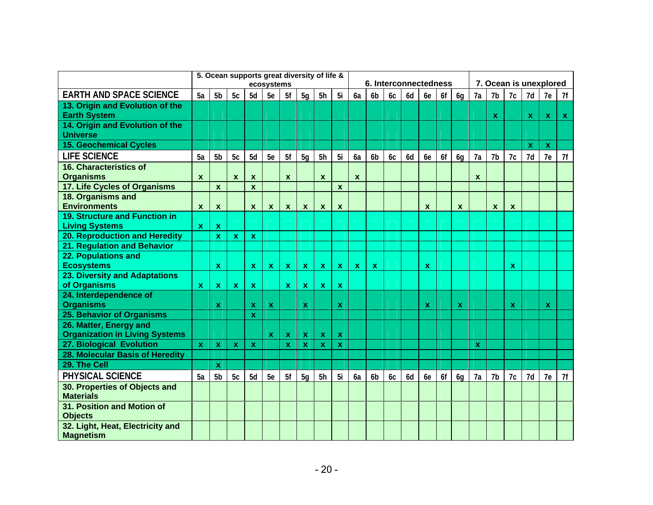|                                                                 |                  |                           |                  |                           | ecosystems                |                  |                           | 5. Ocean supports great diversity of life & |                           |                                                                                  |                |    | 6. Interconnectedness |                           |    |                           |              | 7. Ocean is unexplored    |              |                           |              |    |
|-----------------------------------------------------------------|------------------|---------------------------|------------------|---------------------------|---------------------------|------------------|---------------------------|---------------------------------------------|---------------------------|----------------------------------------------------------------------------------|----------------|----|-----------------------|---------------------------|----|---------------------------|--------------|---------------------------|--------------|---------------------------|--------------|----|
| <b>EARTH AND SPACE SCIENCE</b>                                  | 5a               | 5b                        | 5c               | 5d                        | 5e                        | 5f               | 5g                        | 5h                                          | 5i                        | 6a                                                                               | 6 <sub>b</sub> | 6c | 6d                    | 6e                        | 6f | 6g                        | 7a           | 7b                        | 7c           | 7d                        | 7e           | 7f |
| 13. Origin and Evolution of the                                 |                  |                           |                  |                           |                           |                  |                           |                                             |                           |                                                                                  |                |    |                       |                           |    |                           |              |                           |              |                           |              |    |
| <b>Earth System</b>                                             |                  |                           |                  |                           |                           |                  |                           |                                             |                           |                                                                                  |                |    |                       |                           |    |                           |              | $\boldsymbol{\mathsf{x}}$ |              | $\mathbf{x}$              | $\mathbf{x}$ | X. |
| 14. Origin and Evolution of the                                 |                  |                           |                  |                           |                           |                  |                           |                                             |                           |                                                                                  |                |    |                       |                           |    |                           |              |                           |              |                           |              |    |
| <b>Universe</b><br><b>15. Geochemical Cycles</b>                |                  |                           |                  |                           |                           |                  |                           |                                             |                           |                                                                                  |                |    |                       |                           |    |                           |              |                           |              | $\boldsymbol{\mathsf{x}}$ | $\mathbf x$  |    |
| <b>LIFE SCIENCE</b>                                             | 5a               | 5 <sub>b</sub>            | 5c               | 5d                        | 5e                        | 5f               | 5g                        | 5h                                          | 5i                        | 6a                                                                               | 6 <sub>b</sub> | 6c | 6d                    | 6e                        | 6f | 6g                        | 7a           | 7b                        | 7c           | 7d                        | 7e           | 7f |
| <b>16. Characteristics of</b>                                   |                  |                           |                  |                           |                           |                  |                           |                                             |                           |                                                                                  |                |    |                       |                           |    |                           |              |                           |              |                           |              |    |
| <b>Organisms</b>                                                | $\boldsymbol{x}$ |                           | $\boldsymbol{x}$ | $\boldsymbol{x}$          |                           | $\boldsymbol{x}$ |                           | $\boldsymbol{x}$                            |                           | $\boldsymbol{x}$                                                                 |                |    |                       |                           |    |                           | X            |                           |              |                           |              |    |
| 17. Life Cycles of Organisms                                    |                  | $\mathbf{x}$              |                  | $\mathbf{x}$              |                           |                  |                           |                                             | $\mathbf{x}$              |                                                                                  |                |    |                       |                           |    |                           |              |                           |              |                           |              |    |
| 18. Organisms and                                               |                  |                           |                  |                           |                           |                  |                           |                                             |                           |                                                                                  |                |    |                       |                           |    |                           |              |                           |              |                           |              |    |
| <b>Environments</b>                                             | $\boldsymbol{x}$ | $\boldsymbol{x}$          |                  | $\boldsymbol{x}$          | $\boldsymbol{x}$          | $\boldsymbol{x}$ | $\mathbf{x}$              | $\boldsymbol{\mathsf{x}}$                   | $\mathbf{x}$              |                                                                                  |                |    |                       | $\boldsymbol{x}$          |    | $\boldsymbol{\mathsf{x}}$ |              | $\boldsymbol{x}$          | X            |                           |              |    |
| 19. Structure and Function in                                   |                  |                           |                  |                           |                           |                  |                           |                                             |                           |                                                                                  |                |    |                       |                           |    |                           |              |                           |              |                           |              |    |
| <b>Living Systems</b><br>20. Reproduction and Heredity          | $\mathbf{x}$     | $\boldsymbol{\mathsf{X}}$ |                  |                           |                           |                  |                           |                                             |                           |                                                                                  |                |    |                       |                           |    |                           |              |                           |              |                           |              |    |
| 21. Regulation and Behavior                                     |                  | $\mathbf x$               | $\mathbf x$      | $\mathbf x$               |                           |                  |                           |                                             |                           |                                                                                  |                |    |                       |                           |    |                           |              |                           |              |                           |              |    |
| 22. Populations and                                             |                  |                           |                  |                           |                           |                  |                           |                                             |                           |                                                                                  |                |    |                       |                           |    |                           |              |                           |              |                           |              |    |
| <b>Ecosystems</b>                                               |                  | $\mathbf x$               |                  | $\mathbf x$               | $\boldsymbol{\mathsf{x}}$ | $\pmb{\chi}$     | $\pmb{\mathsf{X}}$        | $\mathbf{x}$                                | $\mathbf{x}$              | $\mathbf{x}$                                                                     | $\mathbf x$    |    |                       | $\boldsymbol{\mathsf{x}}$ |    |                           |              |                           | $\mathbf{x}$ |                           |              |    |
| 23. Diversity and Adaptations                                   |                  |                           |                  |                           |                           |                  |                           |                                             |                           |                                                                                  |                |    |                       |                           |    |                           |              |                           |              |                           |              |    |
| of Organisms                                                    | $\mathbf{x}$     | $\boldsymbol{\mathsf{X}}$ | $\mathbf{x}$     | $\pmb{\mathsf{x}}$        |                           | $\mathbf{x}$     | $\mathbf{x}$              | $\mathbf{x}$                                | $\boldsymbol{\mathsf{X}}$ |                                                                                  |                |    |                       |                           |    |                           |              |                           |              |                           |              |    |
| 24. Interdependence of                                          |                  |                           |                  |                           |                           |                  |                           |                                             |                           |                                                                                  |                |    |                       |                           |    |                           |              |                           |              |                           |              |    |
| <b>Organisms</b>                                                |                  | X                         |                  | $\mathbf x$               | <b>X</b>                  |                  | $\boldsymbol{\mathsf{x}}$ |                                             | $\mathbf{x}$              |                                                                                  |                |    |                       | $\boldsymbol{\mathsf{x}}$ |    | $\boldsymbol{\mathsf{x}}$ |              |                           | $\mathbf x$  |                           | $\mathbf{x}$ |    |
| 25. Behavior of Organisms                                       |                  |                           |                  | $\mathbf x$               |                           |                  |                           |                                             |                           |                                                                                  |                |    |                       |                           |    |                           |              |                           |              |                           |              |    |
| 26. Matter, Energy and<br><b>Organization in Living Systems</b> |                  |                           |                  |                           | <b>x</b>                  | $\mathbf{x}$     | $\boldsymbol{\mathsf{x}}$ | $\mathbf{x}$                                | $\mathbf{x}$              |                                                                                  |                |    |                       |                           |    |                           |              |                           |              |                           |              |    |
| 27. Biological Evolution                                        | $\mathbf{x}$     | $\mathbf x$               | $\mathbf{x}$     | $\boldsymbol{\mathsf{X}}$ |                           | $\mathbf x$      | $\boldsymbol{\mathsf{x}}$ | $\mathbf x$                                 | $\mathbf{x}$              |                                                                                  |                |    |                       |                           |    |                           | $\mathbf{x}$ |                           |              |                           |              |    |
| 28. Molecular Basis of Heredity                                 |                  |                           |                  |                           |                           |                  |                           |                                             |                           |                                                                                  |                |    |                       |                           |    |                           |              |                           |              |                           |              |    |
| 29. The Cell                                                    |                  | X                         |                  |                           |                           |                  |                           |                                             |                           |                                                                                  |                |    |                       |                           |    |                           |              |                           |              |                           |              |    |
| <b>PHYSICAL SCIENCE</b>                                         | 5a               | 5 <sub>b</sub>            | 5c               | 5d                        | 5e                        | 5f               | 5q                        | 5h                                          | 5i                        | 6f<br>7b<br>7d<br>7e<br>6a<br>6 <sub>b</sub><br>6d<br>6e<br>7a<br>7c<br>6с<br>6a |                |    |                       |                           |    |                           |              | 7f                        |              |                           |              |    |
| 30. Properties of Objects and                                   |                  |                           |                  |                           |                           |                  |                           |                                             |                           |                                                                                  |                |    |                       |                           |    |                           |              |                           |              |                           |              |    |
| <b>Materials</b>                                                |                  |                           |                  |                           |                           |                  |                           |                                             |                           |                                                                                  |                |    |                       |                           |    |                           |              |                           |              |                           |              |    |
| 31. Position and Motion of<br><b>Objects</b>                    |                  |                           |                  |                           |                           |                  |                           |                                             |                           |                                                                                  |                |    |                       |                           |    |                           |              |                           |              |                           |              |    |
| 32. Light, Heat, Electricity and<br><b>Magnetism</b>            |                  |                           |                  |                           |                           |                  |                           |                                             |                           |                                                                                  |                |    |                       |                           |    |                           |              |                           |              |                           |              |    |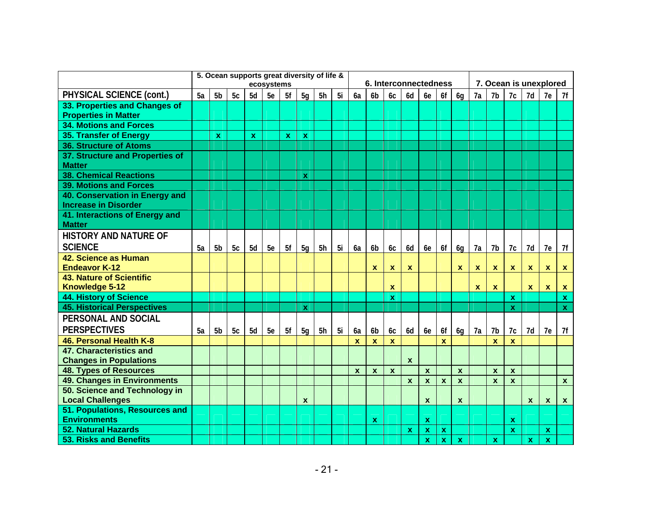|                                                               |    |                |    |             | ecosystems |             |                           | 5. Ocean supports great diversity of life & |    |              | 6. Interconnectedness |                           |                  |                           |              |                  |                  |                           |              |                         | 7. Ocean is unexplored    |              |
|---------------------------------------------------------------|----|----------------|----|-------------|------------|-------------|---------------------------|---------------------------------------------|----|--------------|-----------------------|---------------------------|------------------|---------------------------|--------------|------------------|------------------|---------------------------|--------------|-------------------------|---------------------------|--------------|
| PHYSICAL SCIENCE (cont.)                                      | 5a | 5 <sub>b</sub> | 5c | 5d          | 5e         | 5f          | 5g                        | 5h                                          | 5i | 6a           | 6 <sub>b</sub>        | 6c                        | 6d               | 6e                        | 6f           | 6g               | 7a               | 7b                        | 7c           | 7d                      | 7e                        | 7f           |
| 33. Properties and Changes of<br><b>Properties in Matter</b>  |    |                |    |             |            |             |                           |                                             |    |              |                       |                           |                  |                           |              |                  |                  |                           |              |                         |                           |              |
| <b>34. Motions and Forces</b>                                 |    |                |    |             |            |             |                           |                                             |    |              |                       |                           |                  |                           |              |                  |                  |                           |              |                         |                           |              |
| 35. Transfer of Energy                                        |    | $\mathbf{x}$   |    | $\mathbf x$ |            | $\mathbf x$ | $\boldsymbol{\mathsf{X}}$ |                                             |    |              |                       |                           |                  |                           |              |                  |                  |                           |              |                         |                           |              |
| <b>36. Structure of Atoms</b>                                 |    |                |    |             |            |             |                           |                                             |    |              |                       |                           |                  |                           |              |                  |                  |                           |              |                         |                           |              |
| 37. Structure and Properties of<br><b>Matter</b>              |    |                |    |             |            |             |                           |                                             |    |              |                       |                           |                  |                           |              |                  |                  |                           |              |                         |                           |              |
| <b>38. Chemical Reactions</b>                                 |    |                |    |             |            |             | $\mathbf x$               |                                             |    |              |                       |                           |                  |                           |              |                  |                  |                           |              |                         |                           |              |
| <b>39. Motions and Forces</b>                                 |    |                |    |             |            |             |                           |                                             |    |              |                       |                           |                  |                           |              |                  |                  |                           |              |                         |                           |              |
| 40. Conservation in Energy and<br><b>Increase in Disorder</b> |    |                |    |             |            |             |                           |                                             |    |              |                       |                           |                  |                           |              |                  |                  |                           |              |                         |                           |              |
| 41. Interactions of Energy and<br><b>Matter</b>               |    |                |    |             |            |             |                           |                                             |    |              |                       |                           |                  |                           |              |                  |                  |                           |              |                         |                           |              |
| <b>HISTORY AND NATURE OF</b>                                  |    |                |    |             |            |             |                           |                                             |    |              |                       |                           |                  |                           |              |                  |                  |                           |              |                         |                           |              |
| <b>SCIENCE</b>                                                | 5a | 5 <sub>b</sub> | 5c | 5d          | 5e         | 5f          | 5 <sub>q</sub>            | 5h                                          | 5i | 6a           | 6 <sub>b</sub>        | 6c                        | 6d               | 6e                        | 6f           | 6g               | 7a               | 7b                        | 7c           | 7d                      | 7e                        | 7f           |
| 42. Science as Human<br><b>Endeavor K-12</b>                  |    |                |    |             |            |             |                           |                                             |    |              | $\mathbf{x}$          | $\mathbf{x}$              | $\mathbf{x}$     |                           |              | $\boldsymbol{x}$ | $\boldsymbol{x}$ | $\mathbf{x}$              | $\mathbf{x}$ | $\mathbf{x}$            | $\mathbf{x}$              | $\mathbf{x}$ |
| <b>43. Nature of Scientific</b><br>Knowledge 5-12             |    |                |    |             |            |             |                           |                                             |    |              |                       | $\boldsymbol{\mathsf{x}}$ |                  |                           |              |                  | $\mathbf{x}$     | $\mathbf{x}$              |              | $\mathbf{x}$            | $\mathbf{x}$              | $\mathbf{x}$ |
| <b>44. History of Science</b>                                 |    |                |    |             |            |             |                           |                                             |    |              |                       | $\boldsymbol{\mathsf{X}}$ |                  |                           |              |                  |                  |                           | $\mathbf{x}$ |                         |                           | $\mathbf{x}$ |
| <b>45. Historical Perspectives</b>                            |    |                |    |             |            |             | $\mathbf x$               |                                             |    |              |                       |                           |                  |                           |              |                  |                  |                           | $\mathbf{x}$ |                         |                           | $\mathbf{x}$ |
| PERSONAL AND SOCIAL                                           |    |                |    |             |            |             |                           |                                             |    |              |                       |                           |                  |                           |              |                  |                  |                           |              |                         |                           |              |
| <b>PERSPECTIVES</b>                                           | 5a | 5 <sub>b</sub> | 5c | 5d          | 5e         | 5f          | 5 <sub>q</sub>            | 5h                                          | 5i | 6a           | 6 <sub>b</sub>        | 6 <sub>C</sub>            | 6d               | 6e                        | 6f           | 6 <sub>q</sub>   | 7a               | 7b                        | 7c           | 7d                      | 7e                        | 7f           |
| 46. Personal Health K-8                                       |    |                |    |             |            |             |                           |                                             |    | $\mathbf{x}$ | $\mathbf x$           | $\mathbf{x}$              |                  |                           | $\mathbf x$  |                  |                  | $\mathbf{x}$              | $\mathbf{x}$ |                         |                           |              |
| 47. Characteristics and                                       |    |                |    |             |            |             |                           |                                             |    |              |                       |                           |                  |                           |              |                  |                  |                           |              |                         |                           |              |
| <b>Changes in Populations</b>                                 |    |                |    |             |            |             |                           |                                             |    |              |                       |                           | $\boldsymbol{x}$ |                           |              |                  |                  |                           |              |                         |                           |              |
| <b>48. Types of Resources</b>                                 |    |                |    |             |            |             |                           |                                             |    | $\mathbf x$  | $\mathbf{x}$          | $\mathbf{x}$              |                  | $\mathbf{x}$              |              | $\mathbf x$      |                  | $\mathbf x$               | $\mathbf{x}$ |                         |                           |              |
| 49. Changes in Environments                                   |    |                |    |             |            |             |                           |                                             |    |              |                       |                           | $\mathbf{x}$     | $\mathbf x$               | $\mathbf{x}$ | $\mathbf{x}$     |                  | $\boldsymbol{\mathsf{x}}$ | $\mathbf{x}$ |                         |                           | $\mathbf{x}$ |
| 50. Science and Technology in                                 |    |                |    |             |            |             |                           |                                             |    |              |                       |                           |                  |                           |              |                  |                  |                           |              |                         |                           |              |
| <b>Local Challenges</b>                                       |    |                |    |             |            |             | $\boldsymbol{x}$          |                                             |    |              |                       |                           |                  | $\boldsymbol{x}$          |              | $\boldsymbol{x}$ |                  |                           |              | $\boldsymbol{x}$        | $\boldsymbol{\mathsf{x}}$ | $\mathbf{x}$ |
| 51. Populations, Resources and<br><b>Environments</b>         |    |                |    |             |            |             |                           |                                             |    |              | $\mathbf{x}$          |                           |                  | $\mathbf x$               |              |                  |                  |                           | $\mathbf{x}$ |                         |                           |              |
| <b>52. Natural Hazards</b>                                    |    |                |    |             |            |             |                           |                                             |    |              |                       |                           | $\mathbf x$      | $\boldsymbol{\mathsf{x}}$ | $\mathbf x$  |                  |                  |                           | $\mathbf{x}$ |                         | $\mathbf x$               |              |
| <b>53. Risks and Benefits</b>                                 |    |                |    |             |            |             |                           |                                             |    |              |                       |                           |                  | $\mathbf x$               | $\mathbf{x}$ | $\mathbf x$      |                  | $\mathbf{x}$              |              | $\overline{\mathbf{x}}$ | $\mathbf{x}$              |              |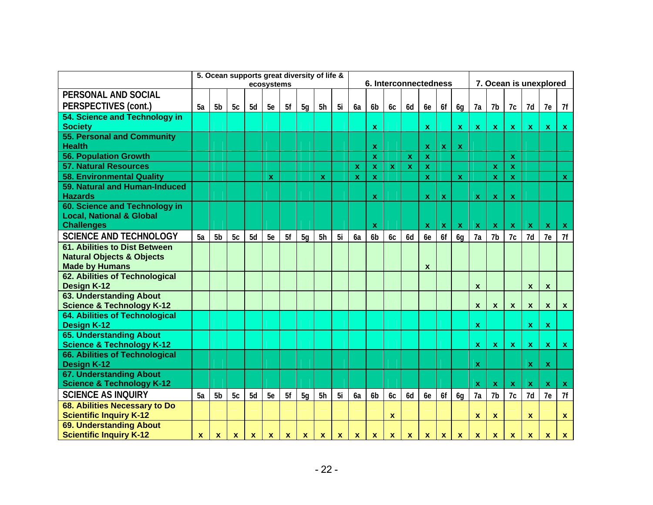|                                                                                                       |             | 5. Ocean supports great diversity of life & |              |             | ecosystems   |             |                |                |              |             | 6. Interconnectedness     |                           |              |                           |              |              |              | 7. Ocean is unexplored    |                           |              |                           |                           |
|-------------------------------------------------------------------------------------------------------|-------------|---------------------------------------------|--------------|-------------|--------------|-------------|----------------|----------------|--------------|-------------|---------------------------|---------------------------|--------------|---------------------------|--------------|--------------|--------------|---------------------------|---------------------------|--------------|---------------------------|---------------------------|
| PERSONAL AND SOCIAL                                                                                   |             |                                             |              |             |              |             |                |                |              |             |                           |                           |              |                           |              |              |              |                           |                           |              |                           |                           |
| PERSPECTIVES (cont.)                                                                                  | 5a          | 5 <sub>b</sub>                              | 5c           | 5d          | 5e           | 5f          | 5 <sub>q</sub> | 5h             | -5i          | 6a          | 6b                        | 6c                        | 6d           | 6e                        | 6f           | 6g           | 7a           | 7b                        | 7c                        | 7d           | 7e                        | 7f                        |
| 54. Science and Technology in                                                                         |             |                                             |              |             |              |             |                |                |              |             |                           |                           |              |                           |              |              |              |                           |                           |              |                           |                           |
| <b>Society</b>                                                                                        |             |                                             |              |             |              |             |                |                |              |             | X                         |                           |              | $\mathbf x$               |              | $\mathbf{x}$ | $\mathbf{x}$ | $\mathbf{x}$              | $\mathbf{x}$              | $\mathbf{x}$ | $\mathbf{x}$              | $\mathbf{X}$              |
| 55. Personal and Community<br><b>Health</b>                                                           |             |                                             |              |             |              |             |                |                |              |             | $\boldsymbol{\mathsf{x}}$ |                           |              | $\mathbf x$               | $\mathbf{x}$ | $\mathbf{x}$ |              |                           |                           |              |                           |                           |
| <b>56. Population Growth</b>                                                                          |             |                                             |              |             |              |             |                |                |              |             | $\mathbf{x}$              |                           | $\mathbf{x}$ | $\boldsymbol{\mathsf{x}}$ |              |              |              |                           | $\mathbf x$               |              |                           |                           |
| <b>57. Natural Resources</b>                                                                          |             |                                             |              |             |              |             |                |                |              | $\mathbf x$ | $\boldsymbol{\mathsf{X}}$ | $\mathbf{x}$              | $\mathbf{x}$ | $\pmb{\chi}$              |              |              |              | $\mathbf x$               | $\mathbf x$               |              |                           |                           |
| <b>58. Environmental Quality</b>                                                                      |             |                                             |              |             | $\mathbf x$  |             |                | $\mathbf x$    |              | $\mathbf x$ | $\mathbf x$               |                           |              | $\mathbf x$               |              | $\mathbf x$  |              | $\mathbf x$               | $\mathbf x$               |              |                           | $\mathbf{x}$              |
| 59. Natural and Human-Induced<br><b>Hazards</b>                                                       |             |                                             |              |             |              |             |                |                |              |             | $\boldsymbol{\mathsf{x}}$ |                           |              | $\mathbf x$               | $\mathbf{x}$ |              | $\mathbf x$  | $\mathbf{x}$              | $\mathbf x$               |              |                           |                           |
| 60. Science and Technology in<br><b>Local, National &amp; Global</b>                                  |             |                                             |              |             |              |             |                |                |              |             |                           |                           |              |                           |              | $\mathbf{x}$ |              |                           |                           | $\mathbf{x}$ |                           |                           |
| <b>Challenges</b>                                                                                     |             |                                             |              |             |              |             |                |                |              |             | $\mathbf x$               |                           |              | $\mathbf{x}$              | $\mathbf{x}$ |              | $\mathbf{x}$ | $\mathbf{x}$              | $\boldsymbol{\mathsf{X}}$ |              | Ιx.                       | $\boldsymbol{\mathsf{X}}$ |
| <b>SCIENCE AND TECHNOLOGY</b>                                                                         | 5a          | 5 <sub>b</sub>                              | 5c           | 5d          | 5e           | 5f          | 5 <sub>q</sub> | 5 <sub>h</sub> | 5i           | 6a          | 6 <sub>b</sub>            | 6c                        | 6d           | 6e                        | 6f           | 6g           | 7a           | 7 <sub>b</sub>            | 7c                        | 7d           | 7e                        | 7f                        |
| <b>61. Abilities to Dist Between</b><br><b>Natural Objects &amp; Objects</b><br><b>Made by Humans</b> |             |                                             |              |             |              |             |                |                |              |             |                           |                           |              | X                         |              |              |              |                           |                           |              |                           |                           |
| 62. Abilities of Technological<br>Design K-12                                                         |             |                                             |              |             |              |             |                |                |              |             |                           |                           |              |                           |              |              | X            |                           |                           | $\mathbf x$  | $\boldsymbol{\mathsf{x}}$ |                           |
| <b>63. Understanding About</b><br><b>Science &amp; Technology K-12</b>                                |             |                                             |              |             |              |             |                |                |              |             |                           |                           |              |                           |              |              | $\mathbf{x}$ | $\boldsymbol{x}$          | $\boldsymbol{x}$          | $\pmb{\chi}$ | $\mathbf{x}$              | $\mathbf{x}$              |
| 64. Abilities of Technological<br><b>Design K-12</b>                                                  |             |                                             |              |             |              |             |                |                |              |             |                           |                           |              |                           |              |              | $\mathbf{x}$ |                           |                           | $\mathbf{x}$ | $\mathbf{x}$              |                           |
| <b>65. Understanding About</b><br><b>Science &amp; Technology K-12</b>                                |             |                                             |              |             |              |             |                |                |              |             |                           |                           |              |                           |              |              | $\mathbf{x}$ | $\pmb{\mathsf{x}}$        | $\pmb{\mathsf{X}}$        | $\mathbf{x}$ | $\mathbf{x}$              | $\mathbf{x}$              |
| 66. Abilities of Technological<br><b>Design K-12</b>                                                  |             |                                             |              |             |              |             |                |                |              |             |                           |                           |              |                           |              |              | $\mathbf x$  |                           |                           | $\mathbf x$  | $\mathbf x$               |                           |
| 67. Understanding About<br><b>Science &amp; Technology K-12</b>                                       |             |                                             |              |             |              |             |                |                |              |             |                           |                           |              |                           |              |              | $\mathbf{x}$ | $\mathbf{x}$              | $\mathbf x$               | $\mathbf{x}$ | $\mathbf{x}$              | $\mathbf{x}$              |
| <b>SCIENCE AS INQUIRY</b>                                                                             | 5a          | 5 <sub>b</sub>                              | 5c           | 5d          | 5e           | 5f          | 5 <sub>q</sub> | 5h             | 5i           | 6a          | 6 <sub>b</sub>            | 6c                        | 6d           | 6e                        | 6f           | 6q           | 7a           | 7 <sub>b</sub>            | 7c                        | 7d           | 7e                        | 7f                        |
| 68. Abilities Necessary to Do<br><b>Scientific Inquiry K-12</b>                                       |             |                                             |              |             |              |             |                |                |              |             |                           | $\boldsymbol{\mathsf{x}}$ |              |                           |              |              | $\mathbf x$  | $\mathbf x$               |                           | $\mathbf x$  |                           | $\mathbf{x}$              |
| 69. Understanding About<br><b>Scientific Inquiry K-12</b>                                             | $\mathbf x$ | $\boldsymbol{\mathsf{x}}$                   | $\mathbf{x}$ | $\mathbf x$ | $\mathbf{x}$ | $\mathbf x$ | $\mathbf{x}$   | $\mathbf{x}$   | $\mathbf{x}$ | $\mathbf x$ | $\mathbf{x}$              | $\mathbf x$               | $\mathbf x$  | $\mathbf x$               | $\mathbf{x}$ | $\mathbf{x}$ | $\mathbf{x}$ | $\boldsymbol{\mathsf{x}}$ | $\mathbf x$               | $\mathbf x$  | $\boldsymbol{x}$          | $\mathbf{x}$              |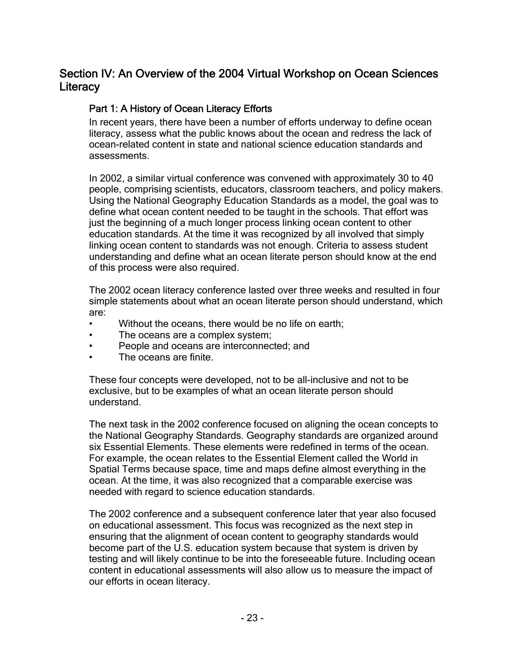## Section IV: An Overview of the 2004 Virtual Workshop on Ocean Sciences **Literacy**

## Part 1: A History of Ocean Literacy Efforts

In recent years, there have been a number of efforts underway to define ocean literacy, assess what the public knows about the ocean and redress the lack of ocean-related content in state and national science education standards and assessments.

In 2002, a similar virtual conference was convened with approximately 30 to 40 people, comprising scientists, educators, classroom teachers, and policy makers. Using the National Geography Education Standards as a model, the goal was to define what ocean content needed to be taught in the schools. That effort was just the beginning of a much longer process linking ocean content to other education standards. At the time it was recognized by all involved that simply linking ocean content to standards was not enough. Criteria to assess student understanding and define what an ocean literate person should know at the end of this process were also required.

The 2002 ocean literacy conference lasted over three weeks and resulted in four simple statements about what an ocean literate person should understand, which are:

- Without the oceans, there would be no life on earth;
- The oceans are a complex system;
- People and oceans are interconnected; and
- The oceans are finite.

These four concepts were developed, not to be all-inclusive and not to be exclusive, but to be examples of what an ocean literate person should understand.

The next task in the 2002 conference focused on aligning the ocean concepts to the National Geography Standards. Geography standards are organized around six Essential Elements. These elements were redefined in terms of the ocean. For example, the ocean relates to the Essential Element called the World in Spatial Terms because space, time and maps define almost everything in the ocean. At the time, it was also recognized that a comparable exercise was needed with regard to science education standards.

The 2002 conference and a subsequent conference later that year also focused on educational assessment. This focus was recognized as the next step in ensuring that the alignment of ocean content to geography standards would become part of the U.S. education system because that system is driven by testing and will likely continue to be into the foreseeable future. Including ocean content in educational assessments will also allow us to measure the impact of our efforts in ocean literacy.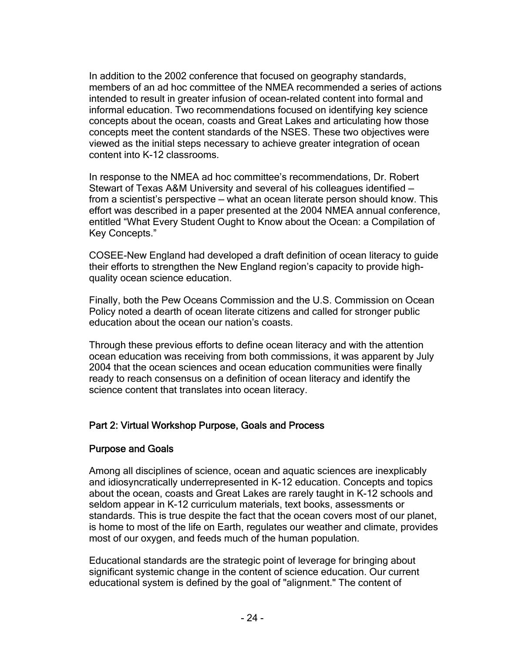In addition to the 2002 conference that focused on geography standards, members of an ad hoc committee of the NMEA recommended a series of actions intended to result in greater infusion of ocean-related content into formal and informal education. Two recommendations focused on identifying key science concepts about the ocean, coasts and Great Lakes and articulating how those concepts meet the content standards of the NSES. These two objectives were viewed as the initial steps necessary to achieve greater integration of ocean content into K-12 classrooms.

In response to the NMEA ad hoc committee's recommendations, Dr. Robert Stewart of Texas A&M University and several of his colleagues identified from a scientist's perspective — what an ocean literate person should know. This effort was described in a paper presented at the 2004 NMEA annual conference, entitled "What Every Student Ought to Know about the Ocean: a Compilation of Key Concepts."

COSEE-New England had developed a draft definition of ocean literacy to guide their efforts to strengthen the New England region's capacity to provide highquality ocean science education.

Finally, both the Pew Oceans Commission and the U.S. Commission on Ocean Policy noted a dearth of ocean literate citizens and called for stronger public education about the ocean our nation's coasts.

Through these previous efforts to define ocean literacy and with the attention ocean education was receiving from both commissions, it was apparent by July 2004 that the ocean sciences and ocean education communities were finally ready to reach consensus on a definition of ocean literacy and identify the science content that translates into ocean literacy.

## Part 2: Virtual Workshop Purpose, Goals and Process

### Purpose and Goals

Among all disciplines of science, ocean and aquatic sciences are inexplicably and idiosyncratically underrepresented in K-12 education. Concepts and topics about the ocean, coasts and Great Lakes are rarely taught in K-12 schools and seldom appear in K-12 curriculum materials, text books, assessments or standards. This is true despite the fact that the ocean covers most of our planet, is home to most of the life on Earth, regulates our weather and climate, provides most of our oxygen, and feeds much of the human population.

Educational standards are the strategic point of leverage for bringing about significant systemic change in the content of science education. Our current educational system is defined by the goal of "alignment." The content of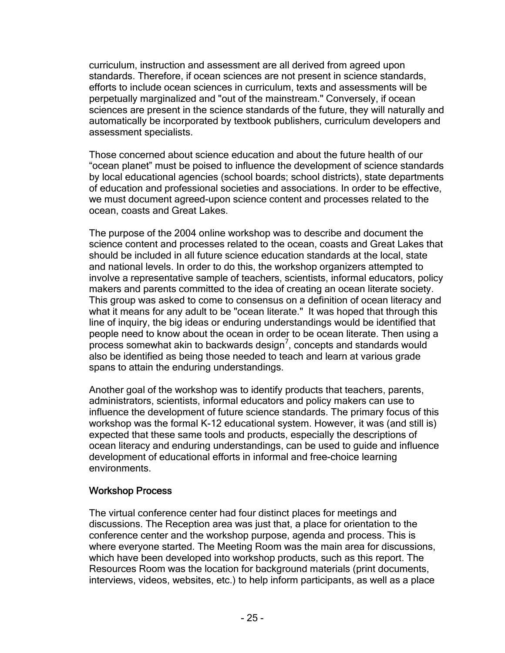curriculum, instruction and assessment are all derived from agreed upon standards. Therefore, if ocean sciences are not present in science standards, efforts to include ocean sciences in curriculum, texts and assessments will be perpetually marginalized and "out of the mainstream." Conversely, if ocean sciences are present in the science standards of the future, they will naturally and automatically be incorporated by textbook publishers, curriculum developers and assessment specialists.

Those concerned about science education and about the future health of our "ocean planet" must be poised to influence the development of science standards by local educational agencies (school boards; school districts), state departments of education and professional societies and associations. In order to be effective, we must document agreed-upon science content and processes related to the ocean, coasts and Great Lakes.

The purpose of the 2004 online workshop was to describe and document the science content and processes related to the ocean, coasts and Great Lakes that should be included in all future science education standards at the local, state and national levels. In order to do this, the workshop organizers attempted to involve a representative sample of teachers, scientists, informal educators, policy makers and parents committed to the idea of creating an ocean literate society. This group was asked to come to consensus on a definition of ocean literacy and what it means for any adult to be "ocean literate." It was hoped that through this line of inquiry, the big ideas or enduring understandings would be identified that people need to know about the ocean in order to be ocean literate. Then using a  $\frac{1}{2}$  process somewhat akin to backwards design<sup>7</sup>, concepts and standards would also be identified as being those needed to teach and learn at various grade spans to attain the enduring understandings.

Another goal of the workshop was to identify products that teachers, parents, administrators, scientists, informal educators and policy makers can use to influence the development of future science standards. The primary focus of this workshop was the formal K-12 educational system. However, it was (and still is) expected that these same tools and products, especially the descriptions of ocean literacy and enduring understandings, can be used to guide and influence development of educational efforts in informal and free-choice learning environments.

### Workshop Process

The virtual conference center had four distinct places for meetings and discussions. The Reception area was just that, a place for orientation to the conference center and the workshop purpose, agenda and process. This is where everyone started. The Meeting Room was the main area for discussions, which have been developed into workshop products, such as this report. The Resources Room was the location for background materials (print documents, interviews, videos, websites, etc.) to help inform participants, as well as a place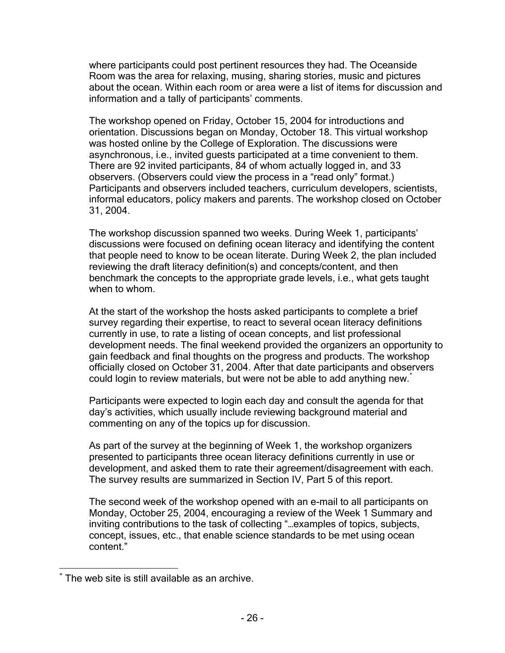where participants could post pertinent resources they had. The Oceanside Room was the area for relaxing, musing, sharing stories, music and pictures about the ocean. Within each room or area were a list of items for discussion and information and a tally of participants' comments.

The workshop opened on Friday, October 15, 2004 for introductions and orientation. Discussions began on Monday, October 18. This virtual workshop was hosted online by the College of Exploration. The discussions were asynchronous, i.e., invited guests participated at a time convenient to them. There are 92 invited participants, 84 of whom actually logged in, and 33 observers. (Observers could view the process in a "read only" format.) Participants and observers included teachers, curriculum developers, scientists, informal educators, policy makers and parents. The workshop closed on October 31, 2004.

The workshop discussion spanned two weeks. During Week 1, participants' discussions were focused on defining ocean literacy and identifying the content that people need to know to be ocean literate. During Week 2, the plan included reviewing the draft literacy definition(s) and concepts/content, and then benchmark the concepts to the appropriate grade levels, i.e., what gets taught when to whom.

At the start of the workshop the hosts asked participants to complete a brief survey regarding their expertise, to react to several ocean literacy definitions currently in use, to rate a listing of ocean concepts, and list professional development needs. The final weekend provided the organizers an opportunity to gain feedback and final thoughts on the progress and products. The workshop officially closed on October 31, 2004. After that date participants and observers could login to review materials, but were not be able to add anything new.

Participants were expected to login each day and consult the agenda for that day's activities, which usually include reviewing background material and commenting on any of the topics up for discussion.

As part of the survey at the beginning of Week 1, the workshop organizers presented to participants three ocean literacy definitions currently in use or development, and asked them to rate their agreement/disagreement with each. The survey results are summarized in Section IV, Part 5 of this report.

The second week of the workshop opened with an e-mail to all participants on Monday, October 25, 2004, encouraging a review of the Week 1 Summary and inviting contributions to the task of collecting "…examples of topics, subjects, concept, issues, etc., that enable science standards to be met using ocean content."

<sup>1</sup> \* The web site is still available as an archive.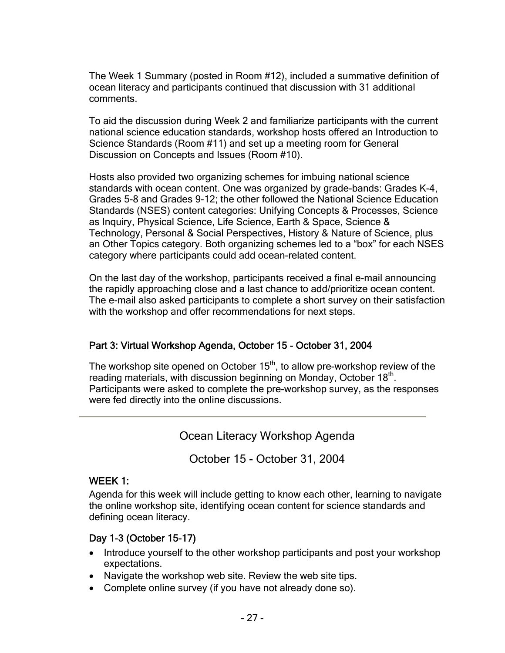The Week 1 Summary (posted in Room #12), included a summative definition of ocean literacy and participants continued that discussion with 31 additional comments.

To aid the discussion during Week 2 and familiarize participants with the current national science education standards, workshop hosts offered an Introduction to Science Standards (Room #11) and set up a meeting room for General Discussion on Concepts and Issues (Room #10).

Hosts also provided two organizing schemes for imbuing national science standards with ocean content. One was organized by grade-bands: Grades K-4, Grades 5-8 and Grades 9-12; the other followed the National Science Education Standards (NSES) content categories: Unifying Concepts & Processes, Science as Inquiry, Physical Science, Life Science, Earth & Space, Science & Technology, Personal & Social Perspectives, History & Nature of Science, plus an Other Topics category. Both organizing schemes led to a "box" for each NSES category where participants could add ocean-related content.

On the last day of the workshop, participants received a final e-mail announcing the rapidly approaching close and a last chance to add/prioritize ocean content. The e-mail also asked participants to complete a short survey on their satisfaction with the workshop and offer recommendations for next steps.

## Part 3: Virtual Workshop Agenda, October 15 - October 31, 2004

The workshop site opened on October  $15<sup>th</sup>$ , to allow pre-workshop review of the reading materials, with discussion beginning on Monday, October 18<sup>th</sup>. Participants were asked to complete the pre-workshop survey, as the responses were fed directly into the online discussions.

Ocean Literacy Workshop Agenda

October 15 - October 31, 2004

## WEEK 1:

Agenda for this week will include getting to know each other, learning to navigate the online workshop site, identifying ocean content for science standards and defining ocean literacy.

## Day 1-3 (October 15-17)

- Introduce yourself to the other workshop participants and post your workshop expectations.
- Navigate the workshop web site. Review the web site tips.
- Complete online survey (if you have not already done so).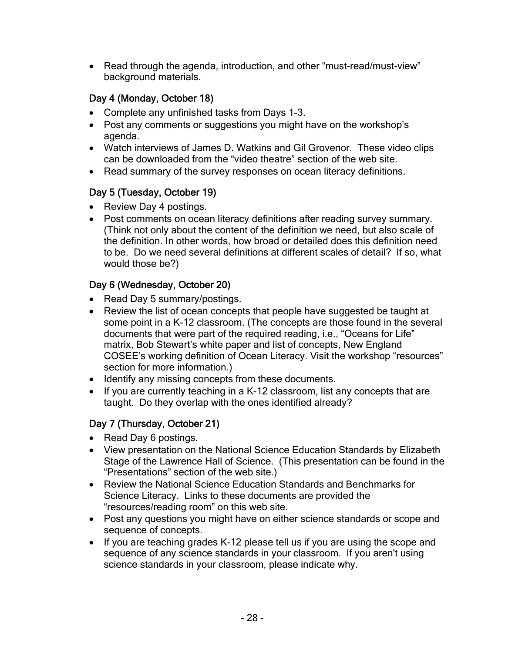• Read through the agenda, introduction, and other "must-read/must-view" background materials.

## Day 4 (Monday, October 18)

- Complete any unfinished tasks from Days 1-3.
- Post any comments or suggestions you might have on the workshop's agenda.
- Watch interviews of James D. Watkins and Gil Grovenor. These video clips can be downloaded from the "video theatre" section of the web site.
- Read summary of the survey responses on ocean literacy definitions.

## Day 5 (Tuesday, October 19)

- Review Day 4 postings.
- Post comments on ocean literacy definitions after reading survey summary. (Think not only about the content of the definition we need, but also scale of the definition. In other words, how broad or detailed does this definition need to be. Do we need several definitions at different scales of detail? If so, what would those be?)

## Day 6 (Wednesday, October 20)

- Read Day 5 summary/postings.
- Review the list of ocean concepts that people have suggested be taught at some point in a K-12 classroom. (The concepts are those found in the several documents that were part of the required reading, i.e., "Oceans for Life" matrix, Bob Stewart's white paper and list of concepts, New England COSEE's working definition of Ocean Literacy. Visit the workshop "resources" section for more information.)
- Identify any missing concepts from these documents.
- If you are currently teaching in a K-12 classroom, list any concepts that are taught. Do they overlap with the ones identified already?

## Day 7 (Thursday, October 21)

- Read Day 6 postings.
- View presentation on the National Science Education Standards by Elizabeth Stage of the Lawrence Hall of Science. (This presentation can be found in the "Presentations" section of the web site.)
- Review the National Science Education Standards and Benchmarks for Science Literacy. Links to these documents are provided the "resources/reading room" on this web site.
- Post any questions you might have on either science standards or scope and sequence of concepts.
- If you are teaching grades K-12 please tell us if you are using the scope and sequence of any science standards in your classroom. If you aren't using science standards in your classroom, please indicate why.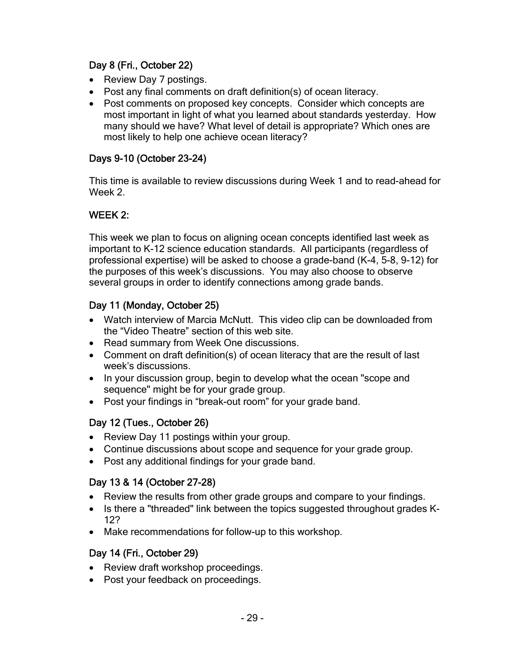## Day 8 (Fri., October 22)

- Review Day 7 postings.
- Post any final comments on draft definition(s) of ocean literacy.
- Post comments on proposed key concepts. Consider which concepts are most important in light of what you learned about standards yesterday. How many should we have? What level of detail is appropriate? Which ones are most likely to help one achieve ocean literacy?

## Days 9-10 (October 23-24)

This time is available to review discussions during Week 1 and to read-ahead for Week 2.

## WEEK 2:

This week we plan to focus on aligning ocean concepts identified last week as important to K-12 science education standards. All participants (regardless of professional expertise) will be asked to choose a grade-band (K-4, 5-8, 9-12) for the purposes of this week's discussions. You may also choose to observe several groups in order to identify connections among grade bands.

## Day 11 (Monday, October 25)

- Watch interview of Marcia McNutt. This video clip can be downloaded from the "Video Theatre" section of this web site.
- Read summary from Week One discussions.
- Comment on draft definition(s) of ocean literacy that are the result of last week's discussions.
- In your discussion group, begin to develop what the ocean "scope and sequence" might be for your grade group.
- Post your findings in "break-out room" for your grade band.

## Day 12 (Tues., October 26)

- Review Day 11 postings within your group.
- Continue discussions about scope and sequence for your grade group.
- Post any additional findings for your grade band.

## Day 13 & 14 (October 27-28)

- Review the results from other grade groups and compare to your findings.
- Is there a "threaded" link between the topics suggested throughout grades K-12?
- Make recommendations for follow-up to this workshop.

## Day 14 (Fri., October 29)

- Review draft workshop proceedings.
- Post your feedback on proceedings.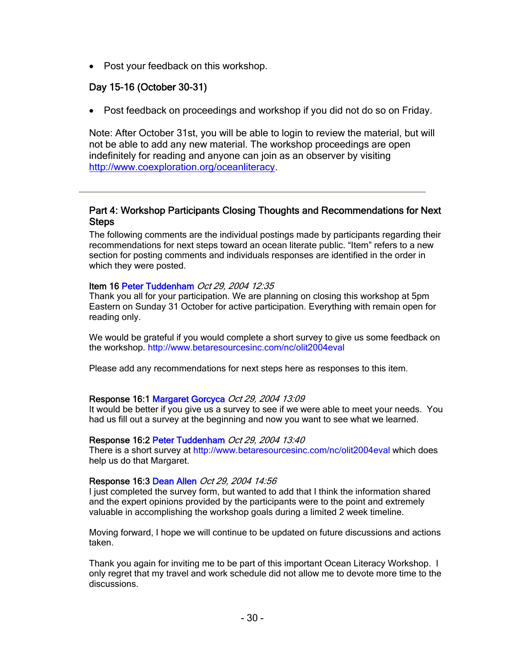• Post your feedback on this workshop.

### Day 15-16 (October 30-31)

• Post feedback on proceedings and workshop if you did not do so on Friday.

Note: After October 31st, you will be able to login to review the material, but will not be able to add any new material. The workshop proceedings are open indefinitely for reading and anyone can join as an observer by visiting http://www.coexploration.org/oceanliteracy.

### Part 4: Workshop Participants Closing Thoughts and Recommendations for Next **Steps**

The following comments are the individual postings made by participants regarding their recommendations for next steps toward an ocean literate public. "Item" refers to a new section for posting comments and individuals responses are identified in the order in which they were posted.

### Item 16 Peter Tuddenham Oct 29, 2004 12:35

Thank you all for your participation. We are planning on closing this workshop at 5pm Eastern on Sunday 31 October for active participation. Everything with remain open for reading only.

We would be grateful if you would complete a short survey to give us some feedback on the workshop. http://www.betaresourcesinc.com/nc/olit2004eval

Please add any recommendations for next steps here as responses to this item.

### Response 16:1 Margaret Gorcyca Oct 29, 2004 13:09

It would be better if you give us a survey to see if we were able to meet your needs. You had us fill out a survey at the beginning and now you want to see what we learned.

#### Response 16:2 Peter Tuddenham Oct 29, 2004 13:40

There is a short survey at http://www.betaresourcesinc.com/nc/olit2004eval which does help us do that Margaret.

### Response 16:3 Dean Allen Oct 29, 2004 14:56

I just completed the survey form, but wanted to add that I think the information shared and the expert opinions provided by the participants were to the point and extremely valuable in accomplishing the workshop goals during a limited 2 week timeline.

Moving forward, I hope we will continue to be updated on future discussions and actions taken.

Thank you again for inviting me to be part of this important Ocean Literacy Workshop. I only regret that my travel and work schedule did not allow me to devote more time to the discussions.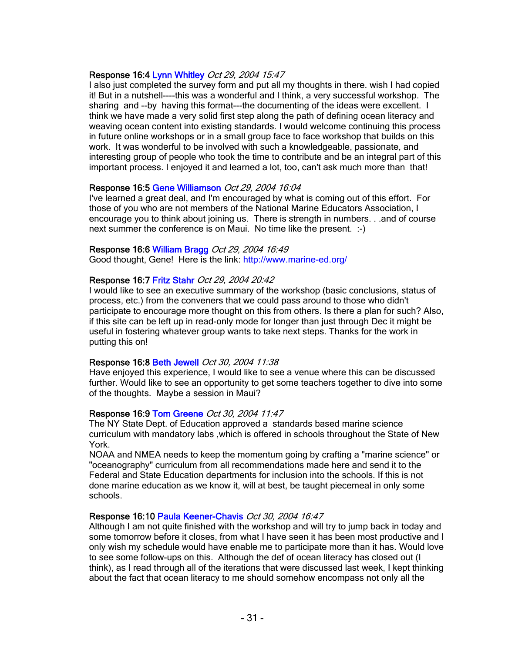### Response 16:4 Lynn Whitley Oct 29, 2004 15:47

I also just completed the survey form and put all my thoughts in there. wish I had copied it! But in a nutshell----this was a wonderful and I think, a very successful workshop. The sharing and --by having this format---the documenting of the ideas were excellent. I think we have made a very solid first step along the path of defining ocean literacy and weaving ocean content into existing standards. I would welcome continuing this process in future online workshops or in a small group face to face workshop that builds on this work. It was wonderful to be involved with such a knowledgeable, passionate, and interesting group of people who took the time to contribute and be an integral part of this important process. I enjoyed it and learned a lot, too, can't ask much more than that!

### Response 16:5 Gene Williamson Oct 29, 2004 16:04

I've learned a great deal, and I'm encouraged by what is coming out of this effort. For those of you who are not members of the National Marine Educators Association, I encourage you to think about joining us. There is strength in numbers. . .and of course next summer the conference is on Maui. No time like the present. :-)

#### Response 16:6 William Bragg Oct 29, 2004 16:49

Good thought, Gene! Here is the link: http://www.marine-ed.org/

### Response 16:7 Fritz Stahr Oct 29, 2004 20:42

I would like to see an executive summary of the workshop (basic conclusions, status of process, etc.) from the conveners that we could pass around to those who didn't participate to encourage more thought on this from others. Is there a plan for such? Also, if this site can be left up in read-only mode for longer than just through Dec it might be useful in fostering whatever group wants to take next steps. Thanks for the work in putting this on!

#### Response 16:8 Beth Jewell Oct 30, 2004 11:38

Have enjoyed this experience, I would like to see a venue where this can be discussed further. Would like to see an opportunity to get some teachers together to dive into some of the thoughts. Maybe a session in Maui?

### Response 16:9 Tom Greene Oct 30, 2004 11:47

The NY State Dept. of Education approved a standards based marine science curriculum with mandatory labs ,which is offered in schools throughout the State of New York.

NOAA and NMEA needs to keep the momentum going by crafting a "marine science" or "oceanography" curriculum from all recommendations made here and send it to the Federal and State Education departments for inclusion into the schools. If this is not done marine education as we know it, will at best, be taught piecemeal in only some schools.

### Response 16:10 Paula Keener-Chavis Oct 30, 2004 16:47

Although I am not quite finished with the workshop and will try to jump back in today and some tomorrow before it closes, from what I have seen it has been most productive and I only wish my schedule would have enable me to participate more than it has. Would love to see some follow-ups on this. Although the def of ocean literacy has closed out (I think), as I read through all of the iterations that were discussed last week, I kept thinking about the fact that ocean literacy to me should somehow encompass not only all the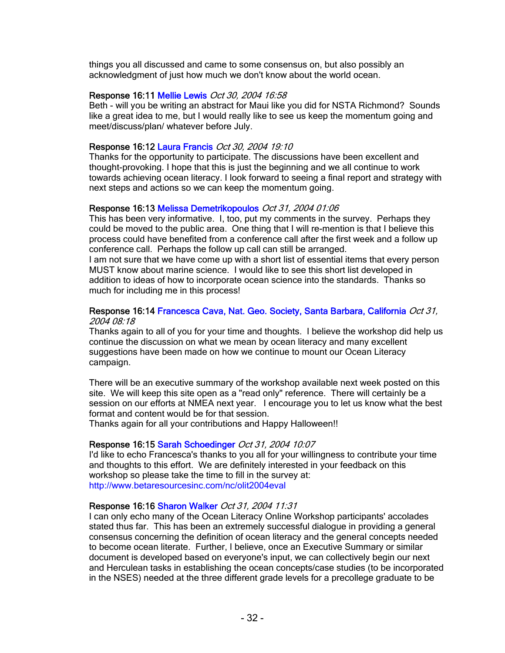things you all discussed and came to some consensus on, but also possibly an acknowledgment of just how much we don't know about the world ocean.

### Response 16:11 Mellie Lewis Oct 30, 2004 16:58

Beth - will you be writing an abstract for Maui like you did for NSTA Richmond? Sounds like a great idea to me, but I would really like to see us keep the momentum going and meet/discuss/plan/ whatever before July.

### Response 16:12 Laura Francis Oct 30, 2004 19:10

Thanks for the opportunity to participate. The discussions have been excellent and thought-provoking. I hope that this is just the beginning and we all continue to work towards achieving ocean literacy. I look forward to seeing a final report and strategy with next steps and actions so we can keep the momentum going.

### Response 16:13 Melissa Demetrikopoulos Oct 31, 2004 01:06

This has been very informative. I, too, put my comments in the survey. Perhaps they could be moved to the public area. One thing that I will re-mention is that I believe this process could have benefited from a conference call after the first week and a follow up conference call. Perhaps the follow up call can still be arranged.

I am not sure that we have come up with a short list of essential items that every person MUST know about marine science. I would like to see this short list developed in addition to ideas of how to incorporate ocean science into the standards. Thanks so much for including me in this process!

#### Response 16:14 Francesca Cava, Nat. Geo. Society, Santa Barbara, California Oct 31, 2004 08:18

Thanks again to all of you for your time and thoughts. I believe the workshop did help us continue the discussion on what we mean by ocean literacy and many excellent suggestions have been made on how we continue to mount our Ocean Literacy campaign.

There will be an executive summary of the workshop available next week posted on this site. We will keep this site open as a "read only" reference. There will certainly be a session on our efforts at NMEA next year. I encourage you to let us know what the best format and content would be for that session.

Thanks again for all your contributions and Happy Halloween!!

### Response 16:15 Sarah Schoedinger Oct 31, 2004 10:07

I'd like to echo Francesca's thanks to you all for your willingness to contribute your time and thoughts to this effort. We are definitely interested in your feedback on this workshop so please take the time to fill in the survey at: http://www.betaresourcesinc.com/nc/olit2004eval

### Response 16:16 Sharon Walker Oct 31, 2004 11:31

I can only echo many of the Ocean Literacy Online Workshop participants' accolades stated thus far. This has been an extremely successful dialogue in providing a general consensus concerning the definition of ocean literacy and the general concepts needed to become ocean literate. Further, I believe, once an Executive Summary or similar document is developed based on everyone's input, we can collectively begin our next and Herculean tasks in establishing the ocean concepts/case studies (to be incorporated in the NSES) needed at the three different grade levels for a precollege graduate to be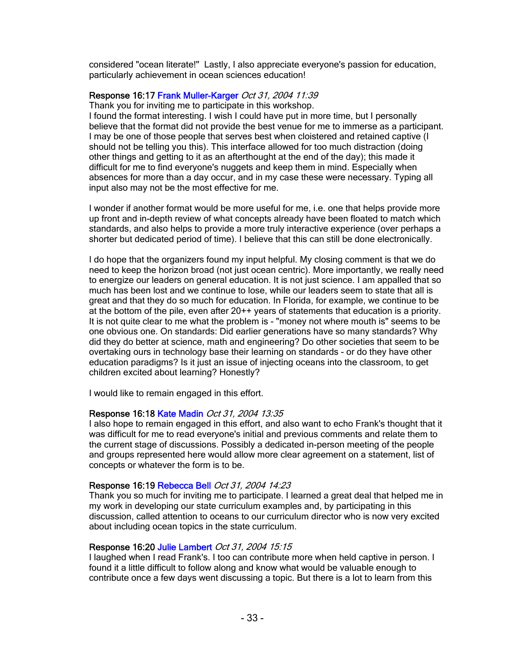considered "ocean literate!" Lastly, I also appreciate everyone's passion for education, particularly achievement in ocean sciences education!

### Response 16:17 Frank Muller-Karger Oct 31, 2004 11:39

Thank you for inviting me to participate in this workshop.

I found the format interesting. I wish I could have put in more time, but I personally believe that the format did not provide the best venue for me to immerse as a participant. I may be one of those people that serves best when cloistered and retained captive (I should not be telling you this). This interface allowed for too much distraction (doing other things and getting to it as an afterthought at the end of the day); this made it difficult for me to find everyone's nuggets and keep them in mind. Especially when absences for more than a day occur, and in my case these were necessary. Typing all input also may not be the most effective for me.

I wonder if another format would be more useful for me, i.e. one that helps provide more up front and in-depth review of what concepts already have been floated to match which standards, and also helps to provide a more truly interactive experience (over perhaps a shorter but dedicated period of time). I believe that this can still be done electronically.

I do hope that the organizers found my input helpful. My closing comment is that we do need to keep the horizon broad (not just ocean centric). More importantly, we really need to energize our leaders on general education. It is not just science. I am appalled that so much has been lost and we continue to lose, while our leaders seem to state that all is great and that they do so much for education. In Florida, for example, we continue to be at the bottom of the pile, even after 20++ years of statements that education is a priority. It is not quite clear to me what the problem is - "money not where mouth is" seems to be one obvious one. On standards: Did earlier generations have so many standards? Why did they do better at science, math and engineering? Do other societies that seem to be overtaking ours in technology base their learning on standards - or do they have other education paradigms? Is it just an issue of injecting oceans into the classroom, to get children excited about learning? Honestly?

I would like to remain engaged in this effort.

#### Response 16:18 Kate Madin Oct 31, 2004 13:35

I also hope to remain engaged in this effort, and also want to echo Frank's thought that it was difficult for me to read everyone's initial and previous comments and relate them to the current stage of discussions. Possibly a dedicated in-person meeting of the people and groups represented here would allow more clear agreement on a statement, list of concepts or whatever the form is to be.

#### Response 16:19 Rebecca Bell Oct 31, 2004 14:23

Thank you so much for inviting me to participate. I learned a great deal that helped me in my work in developing our state curriculum examples and, by participating in this discussion, called attention to oceans to our curriculum director who is now very excited about including ocean topics in the state curriculum.

#### Response 16:20 Julie Lambert Oct 31, 2004 15:15

I laughed when I read Frank's. I too can contribute more when held captive in person. I found it a little difficult to follow along and know what would be valuable enough to contribute once a few days went discussing a topic. But there is a lot to learn from this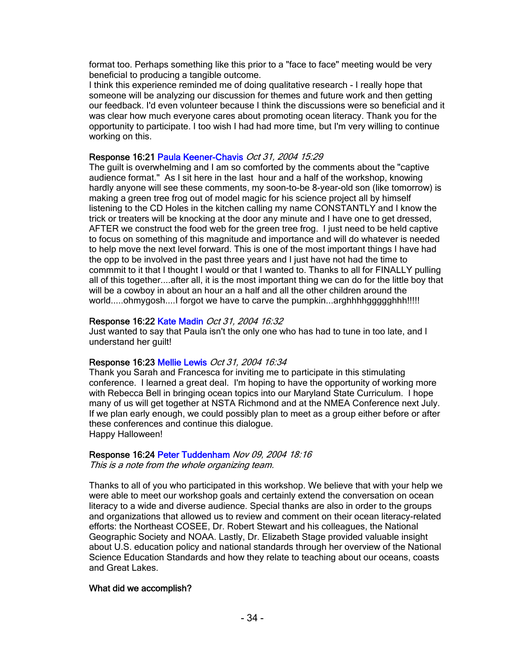format too. Perhaps something like this prior to a "face to face" meeting would be very beneficial to producing a tangible outcome.

I think this experience reminded me of doing qualitative research - I really hope that someone will be analyzing our discussion for themes and future work and then getting our feedback. I'd even volunteer because I think the discussions were so beneficial and it was clear how much everyone cares about promoting ocean literacy. Thank you for the opportunity to participate. I too wish I had had more time, but I'm very willing to continue working on this.

### Response 16:21 Paula Keener-Chavis Oct 31, 2004 15:29

The guilt is overwhelming and I am so comforted by the comments about the "captive audience format." As I sit here in the last hour and a half of the workshop, knowing hardly anyone will see these comments, my soon-to-be 8-year-old son (like tomorrow) is making a green tree frog out of model magic for his science project all by himself listening to the CD Holes in the kitchen calling my name CONSTANTLY and I know the trick or treaters will be knocking at the door any minute and I have one to get dressed, AFTER we construct the food web for the green tree frog. I just need to be held captive to focus on something of this magnitude and importance and will do whatever is needed to help move the next level forward. This is one of the most important things I have had the opp to be involved in the past three years and I just have not had the time to commmit to it that I thought I would or that I wanted to. Thanks to all for FINALLY pulling all of this together....after all, it is the most important thing we can do for the little boy that will be a cowboy in about an hour an a half and all the other children around the world.....ohmygosh....I forgot we have to carve the pumpkin...arghhhhaggggghhh!!!!!

### Response 16:22 Kate Madin Oct 31, 2004 16:32

Just wanted to say that Paula isn't the only one who has had to tune in too late, and I understand her guilt!

#### Response 16:23 Mellie Lewis Oct 31, 2004 16:34

Thank you Sarah and Francesca for inviting me to participate in this stimulating conference. I learned a great deal. I'm hoping to have the opportunity of working more with Rebecca Bell in bringing ocean topics into our Maryland State Curriculum. I hope many of us will get together at NSTA Richmond and at the NMEA Conference next July. If we plan early enough, we could possibly plan to meet as a group either before or after these conferences and continue this dialogue. Happy Halloween!

### Response 16:24 Peter Tuddenham Nov 09, 2004 18:16

This is a note from the whole organizing team.

Thanks to all of you who participated in this workshop. We believe that with your help we were able to meet our workshop goals and certainly extend the conversation on ocean literacy to a wide and diverse audience. Special thanks are also in order to the groups and organizations that allowed us to review and comment on their ocean literacy-related efforts: the Northeast COSEE, Dr. Robert Stewart and his colleagues, the National Geographic Society and NOAA. Lastly, Dr. Elizabeth Stage provided valuable insight about U.S. education policy and national standards through her overview of the National Science Education Standards and how they relate to teaching about our oceans, coasts and Great Lakes.

### What did we accomplish?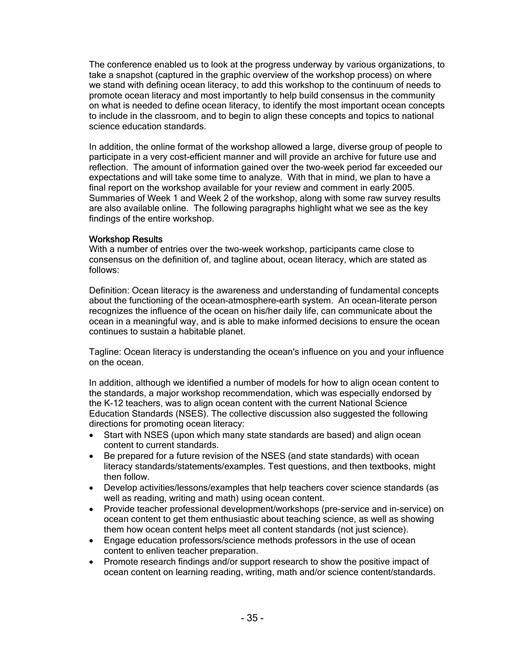The conference enabled us to look at the progress underway by various organizations, to take a snapshot (captured in the graphic overview of the workshop process) on where we stand with defining ocean literacy, to add this workshop to the continuum of needs to promote ocean literacy and most importantly to help build consensus in the community on what is needed to define ocean literacy, to identify the most important ocean concepts to include in the classroom, and to begin to align these concepts and topics to national science education standards.

In addition, the online format of the workshop allowed a large, diverse group of people to participate in a very cost-efficient manner and will provide an archive for future use and reflection. The amount of information gained over the two-week period far exceeded our expectations and will take some time to analyze. With that in mind, we plan to have a final report on the workshop available for your review and comment in early 2005. Summaries of Week 1 and Week 2 of the workshop, along with some raw survey results are also available online. The following paragraphs highlight what we see as the key findings of the entire workshop.

### Workshop Results

With a number of entries over the two-week workshop, participants came close to consensus on the definition of, and tagline about, ocean literacy, which are stated as follows:

Definition: Ocean literacy is the awareness and understanding of fundamental concepts about the functioning of the ocean-atmosphere-earth system. An ocean-literate person recognizes the influence of the ocean on his/her daily life, can communicate about the ocean in a meaningful way, and is able to make informed decisions to ensure the ocean continues to sustain a habitable planet.

Tagline: Ocean literacy is understanding the ocean's influence on you and your influence on the ocean.

In addition, although we identified a number of models for how to align ocean content to the standards, a major workshop recommendation, which was especially endorsed by the K-12 teachers, was to align ocean content with the current National Science Education Standards (NSES). The collective discussion also suggested the following directions for promoting ocean literacy:

- Start with NSES (upon which many state standards are based) and align ocean content to current standards.
- Be prepared for a future revision of the NSES (and state standards) with ocean literacy standards/statements/examples. Test questions, and then textbooks, might then follow.
- Develop activities/lessons/examples that help teachers cover science standards (as well as reading, writing and math) using ocean content.
- Provide teacher professional development/workshops (pre-service and in-service) on ocean content to get them enthusiastic about teaching science, as well as showing them how ocean content helps meet all content standards (not just science).
- Engage education professors/science methods professors in the use of ocean content to enliven teacher preparation.
- Promote research findings and/or support research to show the positive impact of ocean content on learning reading, writing, math and/or science content/standards.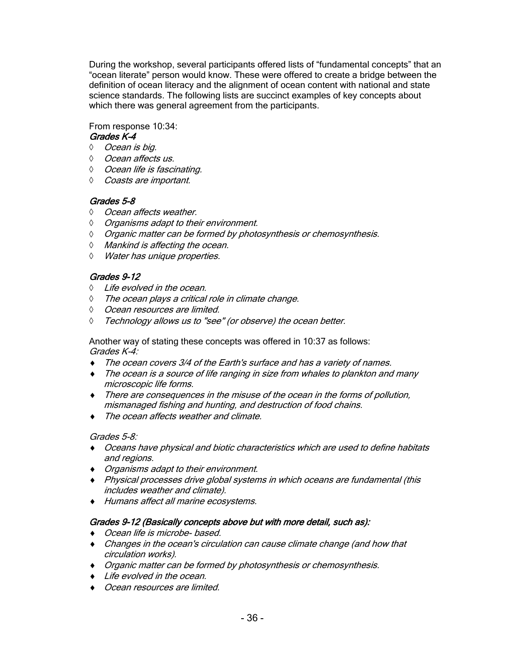During the workshop, several participants offered lists of "fundamental concepts" that an "ocean literate" person would know. These were offered to create a bridge between the definition of ocean literacy and the alignment of ocean content with national and state science standards. The following lists are succinct examples of key concepts about which there was general agreement from the participants.

From response 10:34:

## Grades K-4

- ◊ Ocean is big.
- ◊ Ocean affects us.
- ◊ Ocean life is fascinating.
- ◊ Coasts are important.

## Grades 5-8

- ◊ Ocean affects weather.
- ◊ Organisms adapt to their environment.
- ◊ Organic matter can be formed by photosynthesis or chemosynthesis.
- ◊ Mankind is affecting the ocean.
- ◊ Water has unique properties.

## Grades 9-12

- ◊ Life evolved in the ocean.
- ◊ The ocean plays a critical role in climate change.
- ◊ Ocean resources are limited.
- ◊ Technology allows us to "see" (or observe) the ocean better.

Another way of stating these concepts was offered in 10:37 as follows: Grades K-4:

- ♦ The ocean covers 3/4 of the Earth's surface and has a variety of names.
- ♦ The ocean is a source of life ranging in size from whales to plankton and many microscopic life forms.
- ♦ There are consequences in the misuse of the ocean in the forms of pollution, mismanaged fishing and hunting, and destruction of food chains.
- ♦ The ocean affects weather and climate.

### Grades 5-8:

- ♦ Oceans have physical and biotic characteristics which are used to define habitats and regions.
- ♦ Organisms adapt to their environment.
- ♦ Physical processes drive global systems in which oceans are fundamental (this includes weather and climate).
- ♦ Humans affect all marine ecosystems.

## Grades 9-12 (Basically concepts above but with more detail, such as):

- ♦ Ocean life is microbe- based.
- ♦ Changes in the ocean's circulation can cause climate change (and how that circulation works).
- ♦ Organic matter can be formed by photosynthesis or chemosynthesis.
- ♦ Life evolved in the ocean.
- ♦ Ocean resources are limited.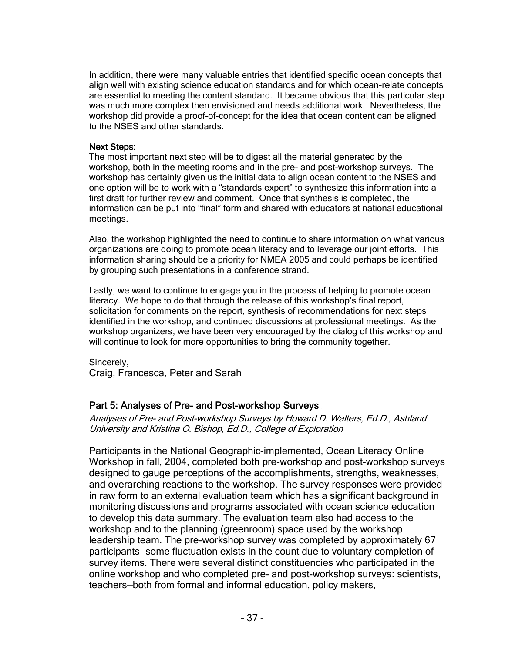In addition, there were many valuable entries that identified specific ocean concepts that align well with existing science education standards and for which ocean-relate concepts are essential to meeting the content standard. It became obvious that this particular step was much more complex then envisioned and needs additional work. Nevertheless, the workshop did provide a proof-of-concept for the idea that ocean content can be aligned to the NSES and other standards.

### Next Steps:

The most important next step will be to digest all the material generated by the workshop, both in the meeting rooms and in the pre- and post-workshop surveys. The workshop has certainly given us the initial data to align ocean content to the NSES and one option will be to work with a "standards expert" to synthesize this information into a first draft for further review and comment. Once that synthesis is completed, the information can be put into "final" form and shared with educators at national educational meetings.

Also, the workshop highlighted the need to continue to share information on what various organizations are doing to promote ocean literacy and to leverage our joint efforts. This information sharing should be a priority for NMEA 2005 and could perhaps be identified by grouping such presentations in a conference strand.

Lastly, we want to continue to engage you in the process of helping to promote ocean literacy. We hope to do that through the release of this workshop's final report, solicitation for comments on the report, synthesis of recommendations for next steps identified in the workshop, and continued discussions at professional meetings. As the workshop organizers, we have been very encouraged by the dialog of this workshop and will continue to look for more opportunities to bring the community together.

Sincerely, Craig, Francesca, Peter and Sarah

## Part 5: Analyses of Pre- and Post-workshop Surveys

Analyses of Pre- and Post-workshop Surveys by Howard D. Walters, Ed.D., Ashland University and Kristina O. Bishop, Ed.D., College of Exploration

Participants in the National Geographic-implemented, Ocean Literacy Online Workshop in fall, 2004, completed both pre-workshop and post-workshop surveys designed to gauge perceptions of the accomplishments, strengths, weaknesses, and overarching reactions to the workshop. The survey responses were provided in raw form to an external evaluation team which has a significant background in monitoring discussions and programs associated with ocean science education to develop this data summary. The evaluation team also had access to the workshop and to the planning (greenroom) space used by the workshop leadership team. The pre-workshop survey was completed by approximately 67 participants—some fluctuation exists in the count due to voluntary completion of survey items. There were several distinct constituencies who participated in the online workshop and who completed pre- and post-workshop surveys: scientists, teachers—both from formal and informal education, policy makers,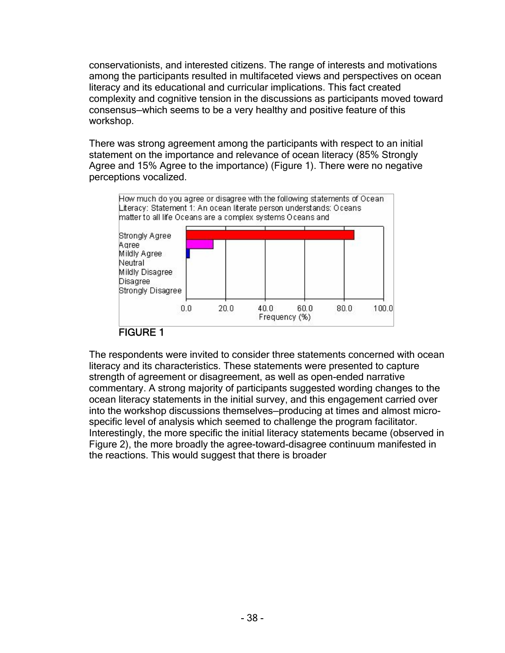conservationists, and interested citizens. The range of interests and motivations among the participants resulted in multifaceted views and perspectives on ocean literacy and its educational and curricular implications. This fact created complexity and cognitive tension in the discussions as participants moved toward consensus—which seems to be a very healthy and positive feature of this workshop.

There was strong agreement among the participants with respect to an initial statement on the importance and relevance of ocean literacy (85% Strongly Agree and 15% Agree to the importance) (Figure 1). There were no negative perceptions vocalized.



## FIGURE 1

The respondents were invited to consider three statements concerned with ocean literacy and its characteristics. These statements were presented to capture strength of agreement or disagreement, as well as open-ended narrative commentary. A strong majority of participants suggested wording changes to the ocean literacy statements in the initial survey, and this engagement carried over into the workshop discussions themselves—producing at times and almost microspecific level of analysis which seemed to challenge the program facilitator. Interestingly, the more specific the initial literacy statements became (observed in Figure 2), the more broadly the agree-toward-disagree continuum manifested in the reactions. This would suggest that there is broader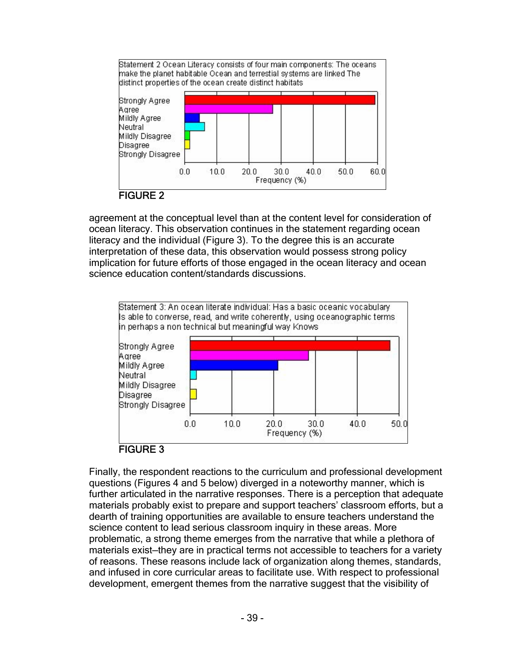

agreement at the conceptual level than at the content level for consideration of ocean literacy. This observation continues in the statement regarding ocean literacy and the individual (Figure 3). To the degree this is an accurate interpretation of these data, this observation would possess strong policy implication for future efforts of those engaged in the ocean literacy and ocean science education content/standards discussions.



Finally, the respondent reactions to the curriculum and professional development questions (Figures 4 and 5 below) diverged in a noteworthy manner, which is further articulated in the narrative responses. There is a perception that adequate materials probably exist to prepare and support teachers' classroom efforts, but a dearth of training opportunities are available to ensure teachers understand the science content to lead serious classroom inquiry in these areas. More problematic, a strong theme emerges from the narrative that while a plethora of materials exist—they are in practical terms not accessible to teachers for a variety of reasons. These reasons include lack of organization along themes, standards, and infused in core curricular areas to facilitate use. With respect to professional development, emergent themes from the narrative suggest that the visibility of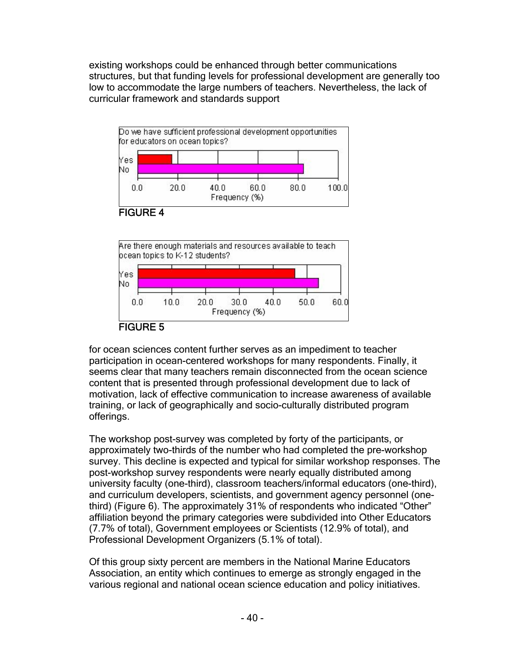existing workshops could be enhanced through better communications structures, but that funding levels for professional development are generally too low to accommodate the large numbers of teachers. Nevertheless, the lack of curricular framework and standards support





for ocean sciences content further serves as an impediment to teacher participation in ocean-centered workshops for many respondents. Finally, it seems clear that many teachers remain disconnected from the ocean science content that is presented through professional development due to lack of motivation, lack of effective communication to increase awareness of available training, or lack of geographically and socio-culturally distributed program offerings.

The workshop post-survey was completed by forty of the participants, or approximately two-thirds of the number who had completed the pre-workshop survey. This decline is expected and typical for similar workshop responses. The post-workshop survey respondents were nearly equally distributed among university faculty (one-third), classroom teachers/informal educators (one-third), and curriculum developers, scientists, and government agency personnel (onethird) (Figure 6). The approximately 31% of respondents who indicated "Other" affiliation beyond the primary categories were subdivided into Other Educators (7.7% of total), Government employees or Scientists (12.9% of total), and Professional Development Organizers (5.1% of total).

Of this group sixty percent are members in the National Marine Educators Association, an entity which continues to emerge as strongly engaged in the various regional and national ocean science education and policy initiatives.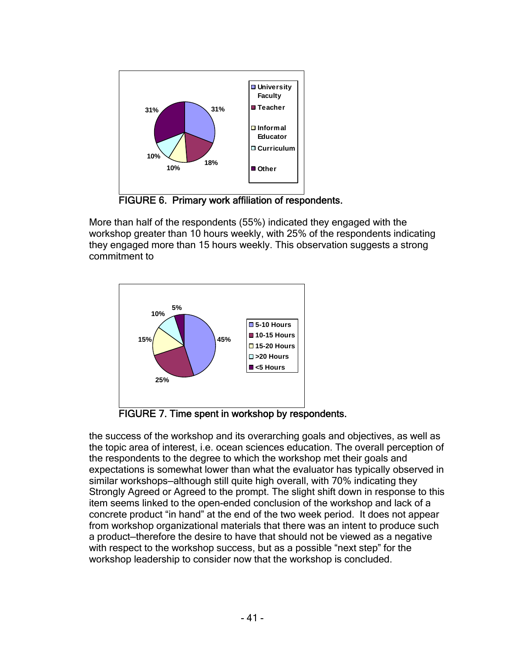

FIGURE 6. Primary work affiliation of respondents.

More than half of the respondents (55%) indicated they engaged with the workshop greater than 10 hours weekly, with 25% of the respondents indicating they engaged more than 15 hours weekly. This observation suggests a strong commitment to



FIGURE 7. Time spent in workshop by respondents.

the success of the workshop and its overarching goals and objectives, as well as the topic area of interest, i.e. ocean sciences education. The overall perception of the respondents to the degree to which the workshop met their goals and expectations is somewhat lower than what the evaluator has typically observed in similar workshops—although still quite high overall, with 70% indicating they Strongly Agreed or Agreed to the prompt. The slight shift down in response to this item seems linked to the open-ended conclusion of the workshop and lack of a concrete product "in hand" at the end of the two week period. It does not appear from workshop organizational materials that there was an intent to produce such a product—therefore the desire to have that should not be viewed as a negative with respect to the workshop success, but as a possible "next step" for the workshop leadership to consider now that the workshop is concluded.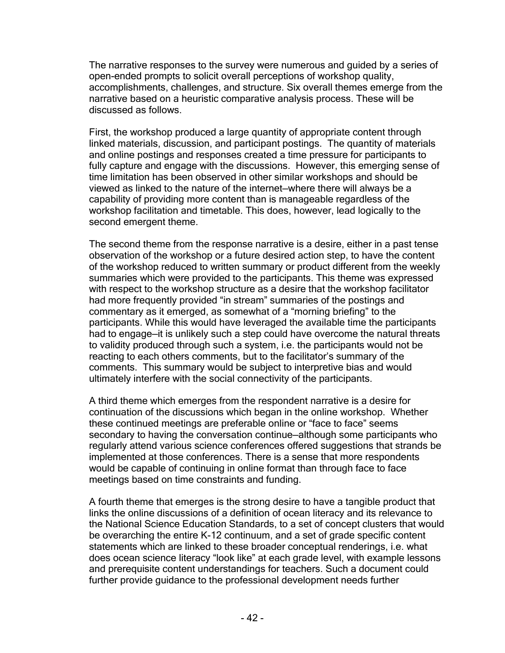The narrative responses to the survey were numerous and guided by a series of open-ended prompts to solicit overall perceptions of workshop quality, accomplishments, challenges, and structure. Six overall themes emerge from the narrative based on a heuristic comparative analysis process. These will be discussed as follows.

First, the workshop produced a large quantity of appropriate content through linked materials, discussion, and participant postings. The quantity of materials and online postings and responses created a time pressure for participants to fully capture and engage with the discussions. However, this emerging sense of time limitation has been observed in other similar workshops and should be viewed as linked to the nature of the internet—where there will always be a capability of providing more content than is manageable regardless of the workshop facilitation and timetable. This does, however, lead logically to the second emergent theme.

The second theme from the response narrative is a desire, either in a past tense observation of the workshop or a future desired action step, to have the content of the workshop reduced to written summary or product different from the weekly summaries which were provided to the participants. This theme was expressed with respect to the workshop structure as a desire that the workshop facilitator had more frequently provided "in stream" summaries of the postings and commentary as it emerged, as somewhat of a "morning briefing" to the participants. While this would have leveraged the available time the participants had to engage—it is unlikely such a step could have overcome the natural threats to validity produced through such a system, i.e. the participants would not be reacting to each others comments, but to the facilitator's summary of the comments. This summary would be subject to interpretive bias and would ultimately interfere with the social connectivity of the participants.

A third theme which emerges from the respondent narrative is a desire for continuation of the discussions which began in the online workshop. Whether these continued meetings are preferable online or "face to face" seems secondary to having the conversation continue–although some participants who regularly attend various science conferences offered suggestions that strands be implemented at those conferences. There is a sense that more respondents would be capable of continuing in online format than through face to face meetings based on time constraints and funding.

A fourth theme that emerges is the strong desire to have a tangible product that links the online discussions of a definition of ocean literacy and its relevance to the National Science Education Standards, to a set of concept clusters that would be overarching the entire K-12 continuum, and a set of grade specific content statements which are linked to these broader conceptual renderings, i.e. what does ocean science literacy "look like" at each grade level, with example lessons and prerequisite content understandings for teachers. Such a document could further provide guidance to the professional development needs further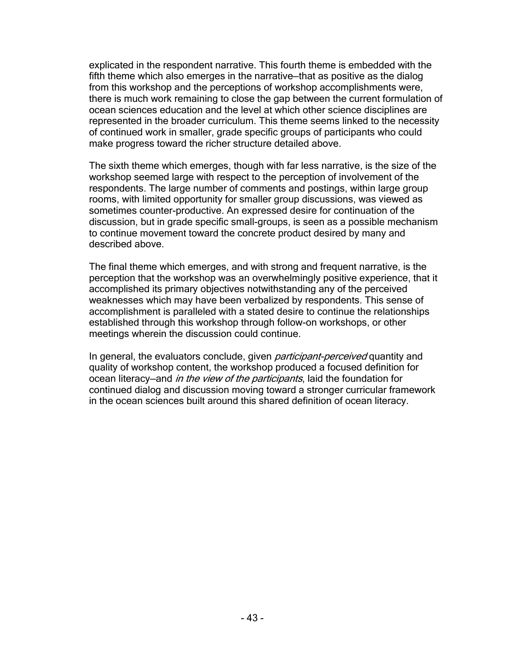explicated in the respondent narrative. This fourth theme is embedded with the fifth theme which also emerges in the narrative—that as positive as the dialog from this workshop and the perceptions of workshop accomplishments were, there is much work remaining to close the gap between the current formulation of ocean sciences education and the level at which other science disciplines are represented in the broader curriculum. This theme seems linked to the necessity of continued work in smaller, grade specific groups of participants who could make progress toward the richer structure detailed above.

The sixth theme which emerges, though with far less narrative, is the size of the workshop seemed large with respect to the perception of involvement of the respondents. The large number of comments and postings, within large group rooms, with limited opportunity for smaller group discussions, was viewed as sometimes counter-productive. An expressed desire for continuation of the discussion, but in grade specific small-groups, is seen as a possible mechanism to continue movement toward the concrete product desired by many and described above.

The final theme which emerges, and with strong and frequent narrative, is the perception that the workshop was an overwhelmingly positive experience, that it accomplished its primary objectives notwithstanding any of the perceived weaknesses which may have been verbalized by respondents. This sense of accomplishment is paralleled with a stated desire to continue the relationships established through this workshop through follow-on workshops, or other meetings wherein the discussion could continue.

In general, the evaluators conclude, given *participant-perceived* quantity and quality of workshop content, the workshop produced a focused definition for ocean literacy—and *in the view of the participants*, laid the foundation for continued dialog and discussion moving toward a stronger curricular framework in the ocean sciences built around this shared definition of ocean literacy.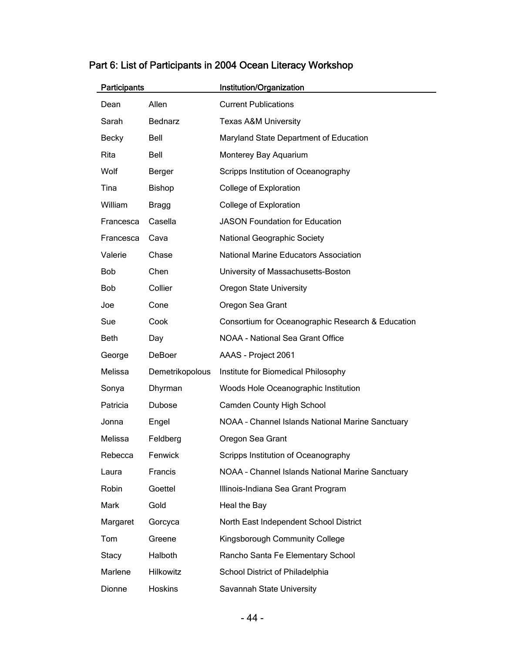| <b>Participants</b> |                  | Institution/Organization                          |
|---------------------|------------------|---------------------------------------------------|
| Dean                | Allen            | <b>Current Publications</b>                       |
| Sarah               | <b>Bednarz</b>   | <b>Texas A&amp;M University</b>                   |
| Becky               | Bell             | Maryland State Department of Education            |
| Rita                | Bell             | Monterey Bay Aquarium                             |
| Wolf                | Berger           | Scripps Institution of Oceanography               |
| Tina                | Bishop           | College of Exploration                            |
| William             | <b>Bragg</b>     | College of Exploration                            |
| Francesca           | Casella          | <b>JASON Foundation for Education</b>             |
| Francesca           | Cava             | National Geographic Society                       |
| Valerie             | Chase            | <b>National Marine Educators Association</b>      |
| <b>Bob</b>          | Chen             | University of Massachusetts-Boston                |
| <b>Bob</b>          | Collier          | <b>Oregon State University</b>                    |
| Joe                 | Cone             | Oregon Sea Grant                                  |
| Sue                 | Cook             | Consortium for Oceanographic Research & Education |
| <b>Beth</b>         | Day              | NOAA - National Sea Grant Office                  |
| George              | DeBoer           | AAAS - Project 2061                               |
| Melissa             | Demetrikopolous  | Institute for Biomedical Philosophy               |
| Sonya               | Dhyrman          | Woods Hole Oceanographic Institution              |
| Patricia            | <b>Dubose</b>    | Camden County High School                         |
| Jonna               | Engel            | NOAA - Channel Islands National Marine Sanctuary  |
| Melissa             | Feldberg         | Oregon Sea Grant                                  |
| Rebecca             | Fenwick          | Scripps Institution of Oceanography               |
| Laura               | Francis          | NOAA - Channel Islands National Marine Sanctuary  |
| Robin               | Goettel          | Illinois-Indiana Sea Grant Program                |
| Mark                | Gold             | Heal the Bay                                      |
| Margaret            | Gorcyca          | North East Independent School District            |
| Tom                 | Greene           | Kingsborough Community College                    |
| Stacy               | Halboth          | Rancho Santa Fe Elementary School                 |
| Marlene             | <b>Hilkowitz</b> | School District of Philadelphia                   |
| Dionne              | <b>Hoskins</b>   | Savannah State University                         |

# Part 6: List of Participants in 2004 Ocean Literacy Workshop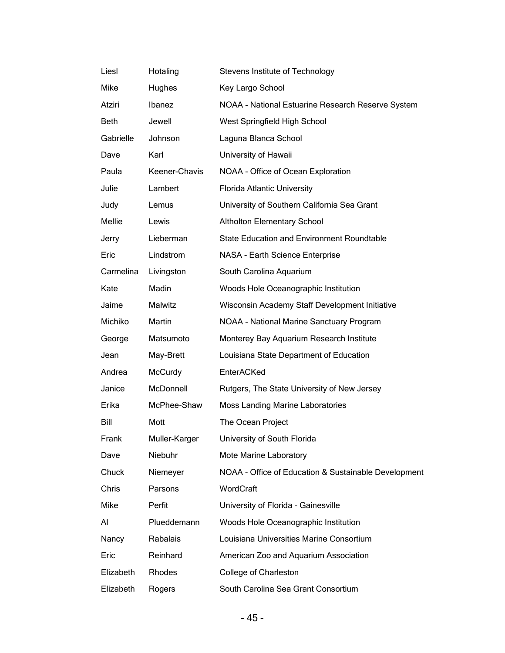| Liesl       | Hotaling      | Stevens Institute of Technology                      |
|-------------|---------------|------------------------------------------------------|
| Mike        | Hughes        | Key Largo School                                     |
| Atziri      | Ibanez        | NOAA - National Estuarine Research Reserve System    |
| <b>Beth</b> | Jewell        | West Springfield High School                         |
| Gabrielle   | Johnson       | Laguna Blanca School                                 |
| Dave        | Karl          | University of Hawaii                                 |
| Paula       | Keener-Chavis | NOAA - Office of Ocean Exploration                   |
| Julie       | Lambert       | <b>Florida Atlantic University</b>                   |
| Judy        | Lemus         | University of Southern California Sea Grant          |
| Mellie      | Lewis         | <b>Altholton Elementary School</b>                   |
| Jerry       | Lieberman     | <b>State Education and Environment Roundtable</b>    |
| Eric        | Lindstrom     | NASA - Earth Science Enterprise                      |
| Carmelina   | Livingston    | South Carolina Aquarium                              |
| Kate        | Madin         | Woods Hole Oceanographic Institution                 |
| Jaime       | Malwitz       | Wisconsin Academy Staff Development Initiative       |
| Michiko     | Martin        | NOAA - National Marine Sanctuary Program             |
| George      | Matsumoto     | Monterey Bay Aquarium Research Institute             |
| Jean        | May-Brett     | Louisiana State Department of Education              |
| Andrea      | McCurdy       | EnterACKed                                           |
| Janice      | McDonnell     | Rutgers, The State University of New Jersey          |
| Erika       | McPhee-Shaw   | <b>Moss Landing Marine Laboratories</b>              |
| Bill        | Mott          | The Ocean Project                                    |
| Frank       | Muller-Karger | University of South Florida                          |
| Dave        | Niebuhr       | Mote Marine Laboratory                               |
| Chuck       | Niemeyer      | NOAA - Office of Education & Sustainable Development |
| Chris       | Parsons       | WordCraft                                            |
| Mike        | Perfit        | University of Florida - Gainesville                  |
| Al          | Plueddemann   | Woods Hole Oceanographic Institution                 |
| Nancy       | Rabalais      | Louisiana Universities Marine Consortium             |
| Eric        | Reinhard      | American Zoo and Aquarium Association                |
| Elizabeth   | Rhodes        | College of Charleston                                |
| Elizabeth   | Rogers        | South Carolina Sea Grant Consortium                  |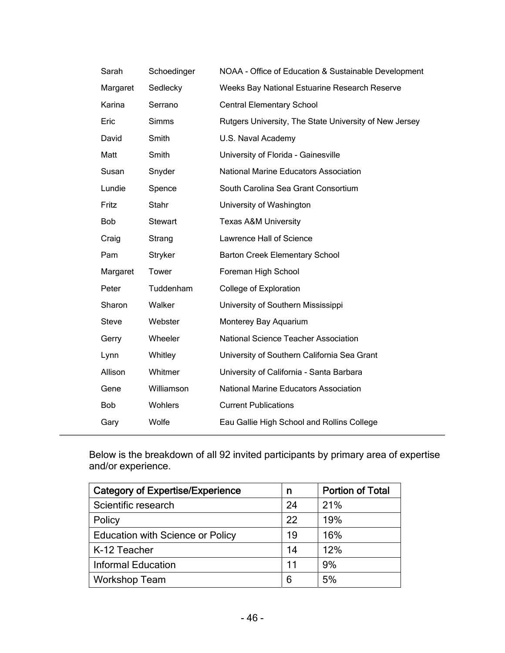| Sarah        | Schoedinger    | NOAA - Office of Education & Sustainable Development   |
|--------------|----------------|--------------------------------------------------------|
| Margaret     | Sedlecky       | Weeks Bay National Estuarine Research Reserve          |
| Karina       | Serrano        | <b>Central Elementary School</b>                       |
| Eric         | Simms          | Rutgers University, The State University of New Jersey |
| David        | Smith          | U.S. Naval Academy                                     |
| Matt         | Smith          | University of Florida - Gainesville                    |
| Susan        | Snyder         | <b>National Marine Educators Association</b>           |
| Lundie       | Spence         | South Carolina Sea Grant Consortium                    |
| Fritz        | Stahr          | University of Washington                               |
| <b>Bob</b>   | <b>Stewart</b> | <b>Texas A&amp;M University</b>                        |
| Craig        | Strang         | Lawrence Hall of Science                               |
| Pam          | Stryker        | <b>Barton Creek Elementary School</b>                  |
| Margaret     | Tower          | Foreman High School                                    |
| Peter        | Tuddenham      | College of Exploration                                 |
| Sharon       | Walker         | University of Southern Mississippi                     |
| <b>Steve</b> | Webster        | Monterey Bay Aquarium                                  |
| Gerry        | Wheeler        | National Science Teacher Association                   |
| Lynn         | Whitley        | University of Southern California Sea Grant            |
| Allison      | Whitmer        | University of California - Santa Barbara               |
| Gene         | Williamson     | <b>National Marine Educators Association</b>           |
| <b>Bob</b>   | <b>Wohlers</b> | <b>Current Publications</b>                            |
| Gary         | Wolfe          | Eau Gallie High School and Rollins College             |

Below is the breakdown of all 92 invited participants by primary area of expertise and/or experience.

| <b>Category of Expertise/Experience</b> | n  | <b>Portion of Total</b> |
|-----------------------------------------|----|-------------------------|
| Scientific research                     |    | 21%                     |
| Policy                                  |    | 19%                     |
| <b>Education with Science or Policy</b> | 19 | 16%                     |
| K-12 Teacher                            | 14 | 12%                     |
| <b>Informal Education</b>               | 11 | 9%                      |
| <b>Workshop Team</b>                    | 6  | 5%                      |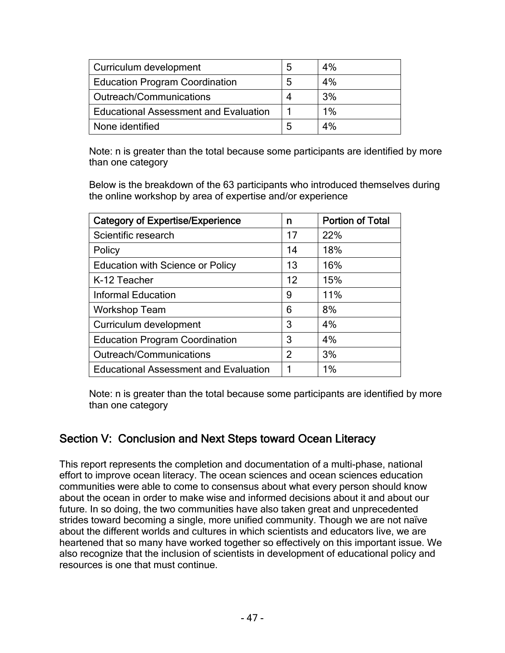| Curriculum development                       | 5 | 4%    |
|----------------------------------------------|---|-------|
| <b>Education Program Coordination</b>        | 5 | 4%    |
| Outreach/Communications                      |   | 3%    |
| <b>Educational Assessment and Evaluation</b> |   | $1\%$ |
| None identified                              | ხ | 4%    |

Note: n is greater than the total because some participants are identified by more than one category

Below is the breakdown of the 63 participants who introduced themselves during the online workshop by area of expertise and/or experience

| <b>Category of Expertise/Experience</b>      | n              | <b>Portion of Total</b> |
|----------------------------------------------|----------------|-------------------------|
| Scientific research                          | 17             | 22%                     |
| Policy                                       | 14             | 18%                     |
| <b>Education with Science or Policy</b>      | 13             | 16%                     |
| K-12 Teacher                                 | 12             | 15%                     |
| <b>Informal Education</b>                    | 9              | 11%                     |
| <b>Workshop Team</b>                         | 6              | 8%                      |
| Curriculum development                       | 3              | 4%                      |
| <b>Education Program Coordination</b>        | 3              | 4%                      |
| Outreach/Communications                      | $\overline{2}$ | 3%                      |
| <b>Educational Assessment and Evaluation</b> |                | 1%                      |

Note: n is greater than the total because some participants are identified by more than one category

## Section V: Conclusion and Next Steps toward Ocean Literacy

This report represents the completion and documentation of a multi-phase, national effort to improve ocean literacy. The ocean sciences and ocean sciences education communities were able to come to consensus about what every person should know about the ocean in order to make wise and informed decisions about it and about our future. In so doing, the two communities have also taken great and unprecedented strides toward becoming a single, more unified community. Though we are not naïve about the different worlds and cultures in which scientists and educators live, we are heartened that so many have worked together so effectively on this important issue. We also recognize that the inclusion of scientists in development of educational policy and resources is one that must continue.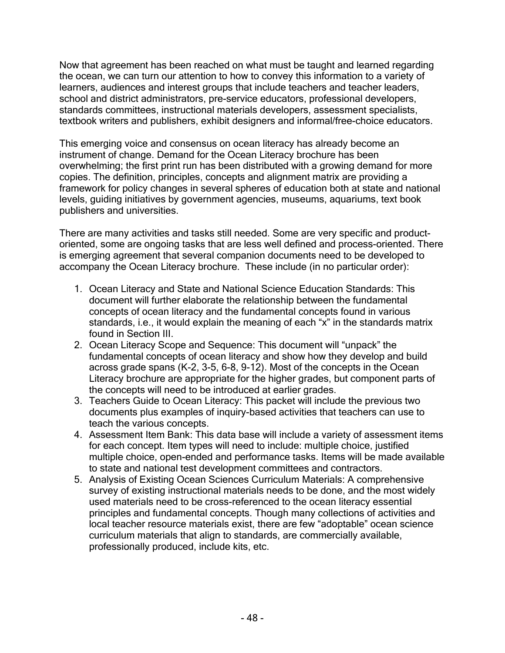Now that agreement has been reached on what must be taught and learned regarding the ocean, we can turn our attention to how to convey this information to a variety of learners, audiences and interest groups that include teachers and teacher leaders, school and district administrators, pre-service educators, professional developers, standards committees, instructional materials developers, assessment specialists, textbook writers and publishers, exhibit designers and informal/free-choice educators.

This emerging voice and consensus on ocean literacy has already become an instrument of change. Demand for the Ocean Literacy brochure has been overwhelming; the first print run has been distributed with a growing demand for more copies. The definition, principles, concepts and alignment matrix are providing a framework for policy changes in several spheres of education both at state and national levels, guiding initiatives by government agencies, museums, aquariums, text book publishers and universities.

There are many activities and tasks still needed. Some are very specific and productoriented, some are ongoing tasks that are less well defined and process-oriented. There is emerging agreement that several companion documents need to be developed to accompany the Ocean Literacy brochure. These include (in no particular order):

- 1. Ocean Literacy and State and National Science Education Standards: This document will further elaborate the relationship between the fundamental concepts of ocean literacy and the fundamental concepts found in various standards, i.e., it would explain the meaning of each "x" in the standards matrix found in Section III.
- 2. Ocean Literacy Scope and Sequence: This document will "unpack" the fundamental concepts of ocean literacy and show how they develop and build across grade spans (K-2, 3-5, 6-8, 9-12). Most of the concepts in the Ocean Literacy brochure are appropriate for the higher grades, but component parts of the concepts will need to be introduced at earlier grades.
- 3. Teachers Guide to Ocean Literacy: This packet will include the previous two documents plus examples of inquiry-based activities that teachers can use to teach the various concepts.
- 4. Assessment Item Bank: This data base will include a variety of assessment items for each concept. Item types will need to include: multiple choice, justified multiple choice, open-ended and performance tasks. Items will be made available to state and national test development committees and contractors.
- 5. Analysis of Existing Ocean Sciences Curriculum Materials: A comprehensive survey of existing instructional materials needs to be done, and the most widely used materials need to be cross-referenced to the ocean literacy essential principles and fundamental concepts. Though many collections of activities and local teacher resource materials exist, there are few "adoptable" ocean science curriculum materials that align to standards, are commercially available, professionally produced, include kits, etc.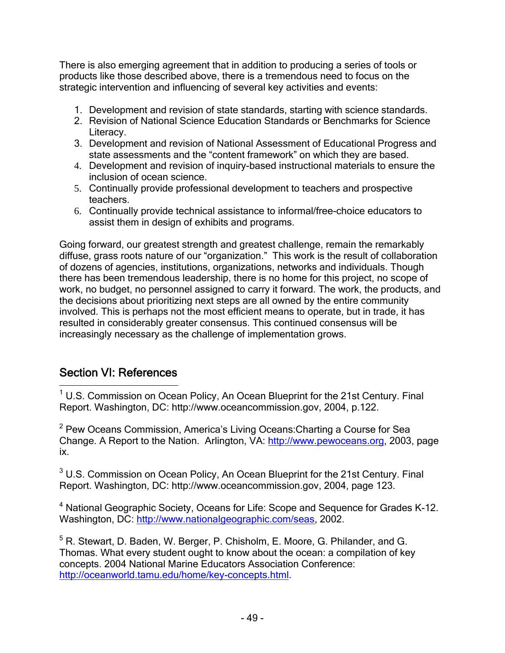There is also emerging agreement that in addition to producing a series of tools or products like those described above, there is a tremendous need to focus on the strategic intervention and influencing of several key activities and events:

- 1. Development and revision of state standards, starting with science standards.
- 2. Revision of National Science Education Standards or Benchmarks for Science Literacy.
- 3. Development and revision of National Assessment of Educational Progress and state assessments and the "content framework" on which they are based.
- 4. Development and revision of inquiry-based instructional materials to ensure the inclusion of ocean science.
- 5. Continually provide professional development to teachers and prospective teachers.
- 6. Continually provide technical assistance to informal/free-choice educators to assist them in design of exhibits and programs.

Going forward, our greatest strength and greatest challenge, remain the remarkably diffuse, grass roots nature of our "organization." This work is the result of collaboration of dozens of agencies, institutions, organizations, networks and individuals. Though there has been tremendous leadership, there is no home for this project, no scope of work, no budget, no personnel assigned to carry it forward. The work, the products, and the decisions about prioritizing next steps are all owned by the entire community involved. This is perhaps not the most efficient means to operate, but in trade, it has resulted in considerably greater consensus. This continued consensus will be increasingly necessary as the challenge of implementation grows.

## Section VI: References

 $\overline{a}$ 

<sup>1</sup> U.S. Commission on Ocean Policy, An Ocean Blueprint for the 21st Century. Final Report. Washington, DC: http://www.oceancommission.gov, 2004, p.122.

<sup>2</sup> Pew Oceans Commission, America's Living Oceans:Charting a Course for Sea Change. A Report to the Nation. Arlington, VA: http://www.pewoceans.org, 2003, page ix.

 $3$  U.S. Commission on Ocean Policy, An Ocean Blueprint for the 21st Century. Final Report. Washington, DC: http://www.oceancommission.gov, 2004, page 123.

<sup>4</sup> National Geographic Society, Oceans for Life: Scope and Sequence for Grades K-12. Washington, DC: http://www.nationalgeographic.com/seas, 2002.

<sup>5</sup> R. Stewart, D. Baden, W. Berger, P. Chisholm, E. Moore, G. Philander, and G. Thomas. What every student ought to know about the ocean: a compilation of key concepts. 2004 National Marine Educators Association Conference: http://oceanworld.tamu.edu/home/key-concepts.html.